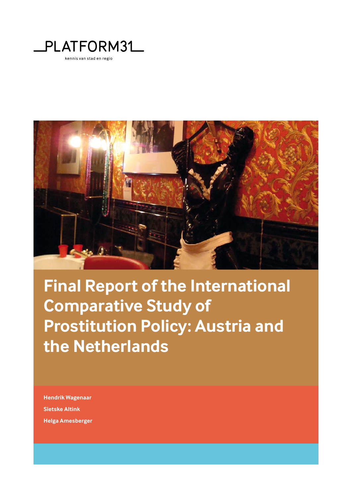



**Final Report of the International Comparative Study of Prostitution Policy: Austria and the Netherlands**

**Hendrik Wagenaar Sietske Altink Helga Amesberger**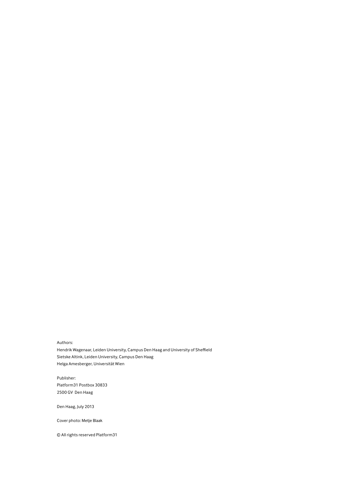Authors:

Hendrik Wagenaar, Leiden University, Campus Den Haag and University of Sheffield Sietske Altink, Leiden University, Campus Den Haag Helga Amesberger, Universität Wien

Publisher: Platform31 Postbox 30833 2500 GV Den Haag

Den Haag, July 2013

Cover photo: Metje Blaak

 $@$  All rights reserved Platform31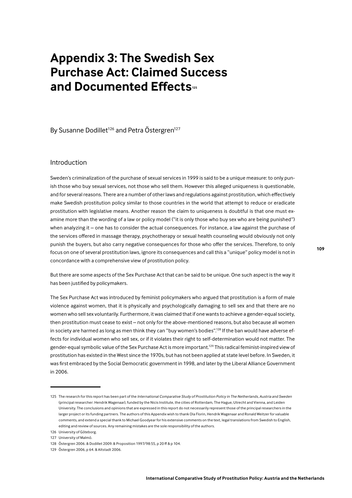# **Appendix 3: The Swedish Sex Purchase Act: Claimed Success** and Documented Effects<sup>125</sup>

By Susanne Dodillet<sup>126</sup> and Petra Östergren<sup>127</sup>

# Introduction

Sweden's criminalization of the purchase of sexual services in 1999 is said to be a unique measure: to only punish those who buy sexual services, not those who sell them. However this alleged uniqueness is questionable, and for several reasons. There are a number of other laws and regulations against prostitution, which effectively make Swedish prostitution policy similar to those countries in the world that attempt to reduce or eradicate prostitution with legislative means. Another reason the claim to uniqueness is doubtful is that one must examine more than the wording of a law or policy model ("it is only those who buy sex who are being punished") when analyzing it – one has to consider the actual consequences. For instance, a law against the purchase of the services offered in massage therapy, psychotherapy or sexual health counseling would obviously not only punish the buyers, but also carry negative consequences for those who offer the services. Therefore, to only focus on one of several prostitution laws, ignore its consequences and call this a "unique" policy model is not in concordance with a comprehensive view of prostitution policy.

But there are some aspects of the Sex Purchase Act that can be said to be unique. One such aspect is the way it has been justified by policymakers.

The Sex Purchase Act was introduced by feminist policymakers who argued that prostitution is a form of male violence against women, that it is physically and psychologically damaging to sell sex and that there are no women who sell sex voluntarily. Furthermore, it was claimed that if one wants to achieve a gender-equal society, then prostitution must cease to exist - not only for the above-mentioned reasons, but also because all women in society are harmed as long as men think they can "buy women's bodies".<sup>128</sup> If the ban would have adverse effects for individual women who sell sex, or if it violates their right to self-determination would not matter. The gender-equal symbolic value of the Sex Purchase Act is more important.<sup>129</sup> This radical feminist-inspired view of prostitution has existed in the West since the 1970s, but has not been applied at state level before. In Sweden, it was first embraced by the Social Democratic government in 1998, and later by the Liberal Alliance Government in 2006.

<sup>125</sup> The research for this report has been part of the International Comparative Study of Prostitution Policy in The Netherlands, Austria and Sweden (principal researcher: Hendrik Wagenaar) funded by the Nicis Institute the cities of Rotterdam The Hague Utrecht and Vienna, and Leiden University. The conclusions and opinions that are expressed in this report do not necessarily represent those of the principal researchers in the larger project or its funding partners. The authors of this Appendix wish to thank Ola Florin, Hendrik Wagenaar and Ronald Weitzer for valuable comments, and extend a special thank to Michael Goodyear for his extensive comments on the text, legal translations from Swedish to English, editing and review of sources. Any remaining mistakes are the sole responsibility of the authors.

<sup>126</sup> University of Göteborg.

<sup>127</sup> University of Malmö.

<sup>128</sup> Östergren 2006. & Dodillet 2009. & Proposition 1997/98:55, p 20 ff & p 104.

<sup>129</sup> Östergren 2006, p 64. & Altstadt 2006.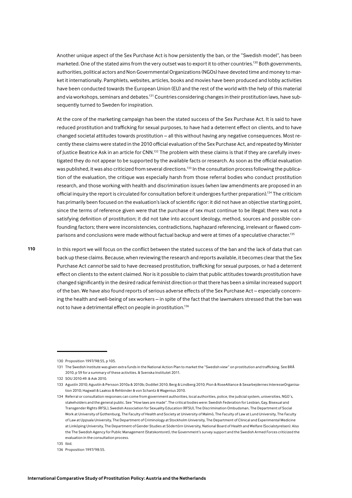Another unique aspect of the Sex Purchase Act is how persistently the ban, or the "Swedish model", has been marketed. One of the stated aims from the very outset was to export it to other countries.<sup>130</sup> Both governments, authorities, political actors and Non Governmental Organizations (NGOs) have devoted time and money to market it internationally. Pamphlets, websites, articles, books and movies have been produced and lobby activities have been conducted towards the European Union (EU) and the rest of the world with the help of this material and via workshops, seminars and debates.<sup>131</sup> Countries considering changes in their prostitution laws, have subsequently turned to Sweden for inspiration.

At the core of the marketing campaign has been the stated success of the Sex Purchase Act. It is said to have reduced prostitution and trafficking for sexual purposes, to have had a deterrent effect on clients, and to have changed societal attitudes towards prostitution - all this without having any negative consequences. Most recently these claims were stated in the 2010 official evaluation of the Sex Purchase Act, and repeated by Minister of Justice Beatrice Ask in an article for CNN.<sup>132</sup> The problem with these claims is that if they are carefully investigated they do not appear to be supported by the available facts or research. As soon as the official evaluation was published, it was also criticized from several directions.<sup>133</sup> In the consultation process following the publication of the evaluation, the critique was especially harsh from those referral bodies who conduct prostitution research, and those working with health and discrimination issues (when law amendments are proposed in an official inquiry the report is circulated for consultation before it undergoes further preparation).<sup>134</sup> The criticism has primarily been focused on the evaluation's lack of scientific rigor: it did not have an objective starting point, since the terms of reference given were that the purchase of sex must continue to be illegal; there was not a satisfying definition of prostitution; it did not take into account ideology, method, sources and possible confounding factors; there were inconsistencies, contradictions, haphazard referencing, irrelevant or flawed comparisons and conclusions were made without factual backup and were at times of a speculative character.<sup>135</sup>

In this report we will focus on the conflict between the stated success of the ban and the lack of data that can back up these claims. Because, when reviewing the research and reports available, it becomes clear that the Sex Purchase Act cannot be said to have decreased prostitution, trafficking for sexual purposes, or had a deterrent effect on clients to the extent claimed. Nor is it possible to claim that public attitudes towards prostitution have changed significantly in the desired radical feminist direction or that there has been a similar increased support of the ban. We have also found reports of serious adverse effects of the Sex Purchase Act - especially concerning the health and well-being of sex workers - in spite of the fact that the lawmakers stressed that the ban was not to have a detrimental effect on people in prostitution.<sup>136</sup>

<sup>130</sup> Proposition 1997/98:55 p.105

<sup>131</sup> The Swedish Institute was given extra funds in the National Action Plan to market the "Swedish view" on prostitution and trafficking. See BRÅ 2010, p 59 for a summary of these activities. & Svenska Institutet 2011.

<sup>132</sup> SOU 2010:49, & Ask 2010.

<sup>133</sup> Agustín 2010; Agustín & Persson 2010a & 2010b; Dodillet 2010; Berg & Lindberg 2010; Pion & RoseAlliance & Sexarbejdernes InteresseOrganisation 2010; Hagwall & Laakso & Rehbinder & von Schantz & Wagenius 2010.

<sup>134</sup> Referral or consultation responses can come from government authorities, local authorities, police, the judicial system, universities, NGO's, stakeholders and the general public. See "How laws are made". The critical bodies were: Swedish Federation for Leshian, Gay, Bisexual and Transgender Rights (RFSL), Swedish Association for Sexuality Education (RFSU), The Discrimination Ombudsman, The Department of Social Work at University of Gothenburg, The Faculty of Health and Society at University of Malmö, The Faculty of Law at Lund University, The Faculty of Law at Uppsala University, The Department of Criminology at Stockholm University, The Department of Clinical and Experimental Medicine at Linköping University, The Department of Gender Studies at Södertörn University, National Board of Health and Welfare (Socialstyrelsen). Also the The Swedish Agency for Public Management (Statskontoret), the Government's survey support and the Swedish Armed Forces criticized the evaluation in the consultation process.

<sup>135</sup> Ibid.

<sup>136</sup> Proposition 1997/98:55.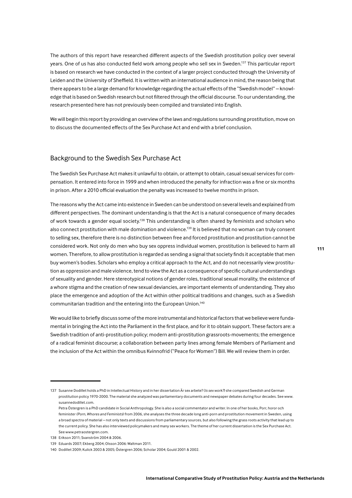The authors of this report have researched different aspects of the Swedish prostitution policy over several years. One of us has also conducted field work among people who sell sex in Sweden.<sup>137</sup> This particular report is based on research we have conducted in the context of a larger project conducted through the University of Leiden and the University of Sheffield. It is written with an international audience in mind, the reason being that there appears to be a large demand for knowledge regarding the actual effects of the "Swedish model" - knowledge that is based on Swedish research but not filtered through the official discourse. To our understanding, the research presented here has not previously been compiled and translated into English.

We will begin this report by providing an overview of the laws and regulations surrounding prostitution, move on to discuss the documented effects of the Sex Purchase Act and end with a brief conclusion.

# Background to the Swedish Sex Purchase Act

The Swedish Sex Purchase Act makes it unlawful to obtain, or attempt to obtain, casual sexual services for compensation. It entered into force in 1999 and when introduced the penalty for infraction was a fine or six months in prison. After a 2010 official evaluation the penalty was increased to twelve months in prison.

The reasons why the Act came into existence in Sweden can be understood on several levels and explained from different perspectives. The dominant understanding is that the Act is a natural consequence of many decades of work towards a gender equal society.<sup>138</sup> This understanding is often shared by feminists and scholars who also connect prostitution with male domination and violence.<sup>139</sup> It is believed that no woman can truly consent to selling sex, therefore there is no distinction between free and forced prostitution and prostitution cannot be considered work. Not only do men who buy sex oppress individual women, prostitution is believed to harm all women. Therefore, to allow prostitution is regarded as sending a signal that society finds it acceptable that men buy women's bodies. Scholars who employ a critical approach to the Act, and do not necessarily view prostitution as oppression and male violence, tend to view the Act as a consequence of specific cultural understandings of sexuality and gender. Here stereotypical notions of gender roles, traditional sexual morality, the existence of a whore stigma and the creation of new sexual deviancies, are important elements of understanding. They also place the emergence and adoption of the Act within other political traditions and changes, such as a Swedish communitarian tradition and the entering into the European Union.<sup>140</sup>

We would like to briefly discuss some of the more instrumental and historical factors that we believe were fundamental in bringing the Act into the Parliament in the first place, and for it to obtain support. These factors are: a Swedish tradition of anti-prostitution policy; modern anti-prostitution grassroots-movements; the emergence of a radical feminist discourse; a collaboration between party lines among female Members of Parliament and the inclusion of the Act within the omnibus Kvinnofrid ("Peace for Women") Bill. We will review them in order.

International Comparative Study of Prostitution Policy: Austria and the Netherlands

<sup>137</sup> Susanne Dodillet holds a PhD in Intellectual History and in her dissertation Är sex arbete? (Is sex work?) she compared Swedish and German prostitution policy 1970-2000. The material she analyzed was parliamentary documents and newspaper debates during four decades. See www. susannedodillet com

Petra Östergren is a PhD candidate in Social Anthropology. She is also a social commentator and writer. In one of her books, Porr, horor och feminister (Porn, Whores and Feminists) from 2006, she analyses the three decade long anti-porn and prostitution movement in Sweden, using a broad spectra of material – not only texts and discussions from parliamentary sources, but also following the grass roots activity that lead up to the current policy. She has also interviewed policymakers and many sex workers. The theme of her current dissertation is the Sex Purchase Act. See www.petraostergren.com.

<sup>138</sup> Erikson 2011: Svanström 2004 & 2006.

<sup>139</sup> Eduards 2007: Ekberg 2004: Olsson 2006: Waltman 2011.

<sup>140</sup> Dodillet 2009; Kulick 2003 & 2005; Östergren 2006; Scholar 2004; Gould 2001 & 2002.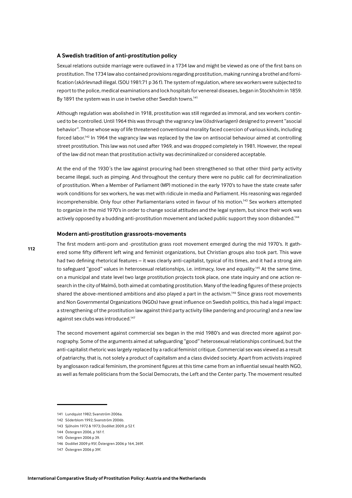#### A Swedish tradition of anti-prostitution policy

Sexual relations outside marriage were outlawed in a 1734 law and might be viewed as one of the first bans on prostitution. The 1734 law also contained provisions regarding prostitution, making running a brothel and fornification (skörlevnad) illegal. (SOU 1981:71 p 36 f). The system of regulation, where sex workers were subjected to report to the police, medical examinations and lock hospitals for venereal diseases, began in Stockholm in 1859. By 1891 the system was in use in twelve other Swedish towns.<sup>141</sup>

Although regulation was abolished in 1918, prostitution was still regarded as immoral, and sex workers continued to be controlled. Until 1964 this was through the vagrancy law (lösdrivarlagen) designed to prevent "asocial behavior". Those whose way of life threatened conventional morality faced coercion of various kinds, including forced labor.<sup>142</sup> In 1964 the vagrancy law was replaced by the law on antisocial behaviour aimed at controlling street prostitution. This law was not used after 1969, and was dropped completely in 1981. However, the repeal of the law did not mean that prostitution activity was decriminalized or considered acceptable.

At the end of the 1930's the law against procuring had been strengthened so that other third party activity became illegal, such as pimping. And throughout the century there were no public call for decriminalization of prostitution. When a Member of Parliament (MP) motioned in the early 1970's to have the state create safer work conditions for sex workers, he was met with ridicule in media and Parliament. His reasoning was regarded incomprehensible. Only four other Parliamentarians voted in favour of his motion.<sup>143</sup> Sex workers attempted to organize in the mid 1970's in order to change social attitudes and the legal system, but since their work was actively opposed by a budding anti-prostitution movement and lacked public support they soon disbanded.<sup>144</sup>

## Modern anti-prostitution grassroots-movements

The first modern anti-porn and -prostitution grass root movement emerged during the mid 1970's. It gathered some fifty different left wing and feminist organizations, but Christian groups also took part. This wave had two defining rhetorical features - it was clearly anti-capitalist, typical of its times, and it had a strong aim to safeguard "good" values in heterosexual relationships, i.e. intimacy, love and equality.<sup>145</sup> At the same time, on a municipal and state level two large prostitution projects took place, one state inquiry and one action research in the city of Malmö, both aimed at combating prostitution. Many of the leading figures of these projects shared the above-mentioned ambitions and also played a part in the activism.<sup>146</sup> Since grass root movements and Non Governmental Organizations (NGOs) have great influence on Swedish politics, this had a legal impact: a strengthening of the prostitution law against third party activity (like pandering and procuring) and a new law against sex clubs was introduced.<sup>147</sup>

The second movement against commercial sex began in the mid 1980's and was directed more against pornography. Some of the arguments aimed at safeguarding "good" heterosexual relationships continued, but the anti-capitalist rhetoric was largely replaced by a radical feminist critique. Commercial sex was viewed as a result of patriarchy, that is, not solely a product of capitalism and a class divided society. Apart from activists inspired by anglosaxon radical feminism, the prominent figures at this time came from an influential sexual health NGO, as well as female politicians from the Social Democrats, the Left and the Center party. The movement resulted

<sup>141</sup> Lundquist 1982: Svanström 2006a

<sup>142</sup> Söderblom 1992: Svanström 2006b

<sup>143</sup> Sjöholm 1972 & 1973; Dodillet 2009, p 52 f.

<sup>144</sup> Östergren 2006, p 161 f.

<sup>145</sup> Östergren 2006 p 39.

<sup>146</sup> Dodillet 2009 p 95f, Östergren 2006 p 164, 269f.

<sup>147</sup> Östergren 2006 p 39f.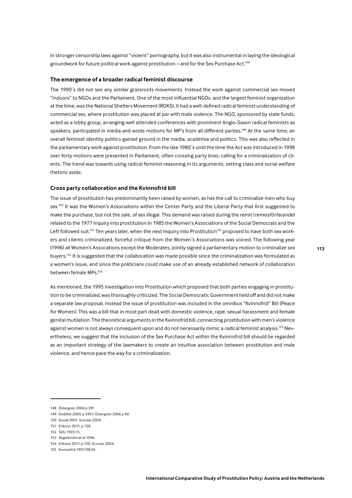in stronger censorship laws against "violent" pornography, but it was also instrumental in laying the ideological groundwork for future political work against prostitution - and for the Sex Purchase Act.<sup>148</sup>

#### The emergence of a broader radical feminist discourse

The 1990's did not see any similar grassroots movements. Instead the work against commercial sex moved "indoors" to NGOs and the Parliament. One of the most influential NGOs, and the largest feminist organization at the time, was the National Shelters Movement (ROKS). It had a well-defined radical feminist understanding of commercial sex, where prostitution was placed at par with male violence. The NGO, sponsored by state funds, acted as a lobby group, arranging well attended conferences with prominent Anglo-Saxon radical feminists as speakers, participated in media and wrote motions for MP's from all different parties.<sup>149</sup> At the same time, an overall feminist identity politics gained ground in the media, academia and politics. This was also reflected in the parliamentary work against prostitution. From the late 1980's until the time the Act was introduced in 1998 over forty motions were presented in Parliament, often crossing party lines, calling for a criminalization of clients. The trend was towards using radical feminist reasoning in its arguments, setting class and social welfare rhetoric aside.

### Cross party collaboration and the Kvinnofrid bill

The issue of prostitution has predominantly been raised by women, as has the call to criminalize men who buy sex.<sup>150</sup> It was the Women's Associations within the Center Party and the Liberal Party that first suggested to make the purchase, but not the sale, of sex illegal. This demand was raised during the remit (remissförfarande) related to the 1977 Inquiry into prostitution In 1985 the Women's Associations of the Social Democrats and the Left followed suit.<sup>151</sup> Ten years later, when the next Inquiry into Prostitution<sup>152</sup> proposed to have both sex workers and clients criminalized, forceful critique from the Women's Associations was voiced. The following year (1996) all Women's Assocations except the Moderates, jointly signed a parliamentary motion to criminalize sex buyers.<sup>153</sup> It is suggested that the collaboration was made possible since the criminalization was formulated as a women's issue, and since the politicians could make use of an already established network of collaboration between female MPs.<sup>154</sup>

As mentioned, the 1995 Investigation into Prostitution which proposed that both parties engaging in prostitution to be criminalized, was thoroughly criticized. The Social Democratic Government held off and did not make a separate law proposal, instead the issue of prostitution was included in the omnibus "Kvinnofrid" Bill (Peace for Women). This was a bill that in most part dealt with domestic violence, rape, sexual harassment and female genital mutilation. The theoretical arguments in the Kvinnofrid bill, connecting prostitution with men's violence against women is not always consequent upon and do not necessarily mimic a radical feminist analysis.<sup>155</sup> Neyertheless, we suggest that the inclusion of the Sex Purchase Act within the Kvinnofrid bill should be regarded as an important strategy of the lawmakers to create an intuitive association between prostitution and male violence, and hence pave the way for a criminalization.

149 Dodillet 2009, p.390 f. Östergren 2006 p.40.

<sup>148</sup> Östergren 2006 p 39f.

<sup>150</sup> Gould 2001, Scoular 2004

<sup>151</sup> Erikson 2011, p 138.

<sup>152</sup> SOU 1995:15.

<sup>153</sup> Segelström et al 1996.

<sup>154</sup> Erikson 2011. p 150, Scoular 2004.

<sup>155</sup> Kvinnofrid 1997/98:55.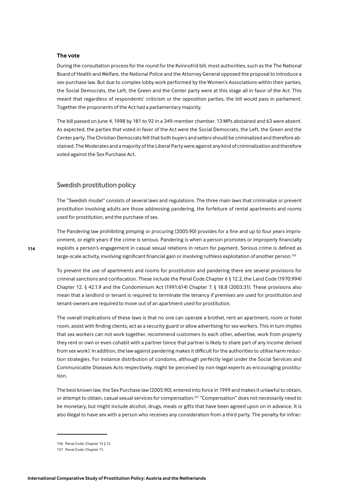#### The vote

During the consultation process for the round for the Kvinnofrid bill, most authorities, such as the The National Board of Health and Welfare, the National Police and the Attorney General opposed the proposal to introduce a sex-purchase law. But due to complex lobby work performed by the Women's Associations within their parties, the Social Democrats, the Left, the Green and the Center party were at this stage all in favor of the Act. This meant that regardless of respondents' criticism or the opposition parties, the bill would pass in parliament. Together the proponents of the Act had a parliamentary majority.

The bill passed on June 4, 1998 by 181 to 92 in a 349-member chamber. 13 MPs abstained and 63 were absent. As expected, the parties that voted in favor of the Act were the Social Democrats, the Left, the Green and the Center party. The Christian Democrats felt that both buyers and sellers should be criminalized and therefore abstained. The Moderates and a majority of the Liberal Party were against any kind of criminalization and therefore voted against the Sex Purchase Act.

# Swedish prostitution policy

The "Swedish model" consists of several laws and regulations. The three main laws that criminalize or prevent prostitution involving adults are those addressing pandering, the forfeiture of rental apartments and rooms used for prostitution, and the purchase of sex.

The Pandering law prohibiting pimping or procuring (2005:90) provides for a fine and up to four years imprisonment, or eight years if the crime is serious. Pandering is when a person promotes or improperly financially exploits a person's engagement in casual sexual relations in return for payment. Serious crime is defined as large-scale activity, involving significant financial gain or involving ruthless exploitation of another person.<sup>156</sup>

To prevent the use of apartments and rooms for prostitution and pandering there are several provisions for criminal sanctions and confiscation. These include the Penal Code Chapter 6 § 12.2, the Land Code (1970:994) Chapter 12. § 42.1.9 and the Condominium Act (1991:614) Chapter 7. § 18.8 (2003:31). These provisions also mean that a landlord or tenant is required to terminate the tenancy if premises are used for prostitution and tenant-owners are required to move out of an apartment used for prostitution.

The overall implications of these laws is that no one can operate a brothel, rent an apartment, room or hotel room, assist with finding clients, act as a security guard or allow advertising for sex workers. This in turn implies that sex workers can not work together, recommend customers to each other, advertise, work from property they rent or own or even cohabit with a partner (since that partner is likely to share part of any income derived from sex work). In addition, the law against pandering makes it difficult for the authorities to utilise harm reduction strategies. For instance distribution of condoms, although perfectly legal under the Social Services and Communicable Diseases Acts respectively, might be perceived by non-legal experts as encouraging prostitution.

The best known law, the Sex Purchase law (2005:90), entered into force in 1999 and makes it unlawful to obtain, or attempt to obtain, casual sexual services for compensation.<sup>157</sup> "Compensation" does not necessarily need to be monetary, but might include alcohol, drugs, meals or gifts that have been agreed upon on in advance. It is also illegal to have sex with a person who receives any consideration from a third party. The penalty for infrac-

<sup>156</sup> Penal Code: Chapter 12 § 12.

<sup>157</sup> Penal Code: Chapter 11.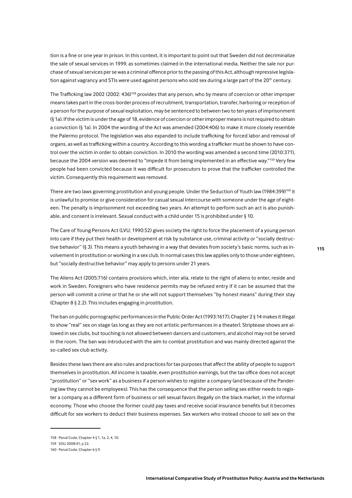tion is a fine or one year in prison. In this context, it is important to point out that Sweden did not decriminalize the sale of sexual services in 1999, as sometimes claimed in the international media. Neither the sale nor purchase of sexual services per se was a criminal offence prior to the passing of this Act, although repressive legislation against vagrancy and STIs were used against persons who sold sex during a large part of the 20<sup>th</sup> century.

The Trafficking law 2002 (2002: 436)<sup>158</sup> provides that any person, who by means of coercion or other improper means takes part in the cross-border process of recruitment, transportation, transfer, harboring or reception of a person for the purpose of sexual exploitation, may be sentenced to between two to ten years of imprisonment (§ 1a). If the victim is under the age of 18, evidence of coercion or other improper means is not required to obtain a conviction (§ 1a). In 2004 the wording of the Act was amended (2004:406) to make it more closely resemble the Palermo protocol. The legislation was also expanded to include trafficking for forced labor and removal of organs, as well as trafficking within a country. According to this wording a trafficker must be shown to have control over the victim in order to obtain conviction. In 2010 the wording was amended a second time (2010:371), because the 2004 version was deemed to "impede it from being implemented in an effective way."159 Very few people had been convicted because it was difficult for prosecutors to prove that the trafficker controlled the victim. Consequently this requirement was removed.

There are two laws governing prostitution and young people. Under the Seduction of Youth law (1984:399)<sup>160</sup> it is unlawful to promise or give consideration for casual sexual intercourse with someone under the age of eighteen. The penalty is imprisonment not exceeding two years. An attempt to perform such an act is also punishable, and consent is irrelevant. Sexual conduct with a child under 15 is prohibited under § 10.

The Care of Young Persons Act (LVU; 1990:52) gives society the right to force the placement of a young person into care if they put their health or development at risk by substance use, criminal activity or "socially destructive behavior" (§ 3). This means a youth behaving in a way that deviates from society's basic norms, such as involvement in prostitution or working in a sex club. In normal cases this law applies only to those under eighteen, but "socially destructive behavior" may apply to persons under 21 years.

The Aliens Act (2005:716) contains provisions which, inter alia, relate to the right of aliens to enter, reside and work in Sweden. Foreigners who have residence permits may be refused entry if it can be assumed that the person will commit a crime or that he or she will not support themselves "by honest means" during their stay (Chapter 8 § 2.2). This includes engaging in prostitution.

The ban on public pornographic performances in the Public Order Act (1993:1617); Chapter 2 § 14 makes it illegal to show "real" sex on stage (as long as they are not artistic performances in a theater). Striptease shows are allowed in sex clubs, but touching is not allowed between dancers and customers, and alcohol may not be served in the room. The ban was introduced with the aim to combat prostitution and was mainly directed against the so-called sex club activity.

Besides these laws there are also rules and practices for tax purposes that affect the ability of people to support themselves in prostitution. All income is taxable, even prostitution earnings, but the tax office does not accept "prostitution" or "sex work" as a business if a person wishes to register a company (and because of the Pandering law they cannot be employees). This has the consequence that the person selling sex either needs to register a company as a different form of business or sell sexual favors illegally on the black market, in the informal economy. Those who choose the former could pay taxes and receive social insurance benefits but it becomes difficult for sex workers to deduct their business expenses. Sex workers who instead choose to sell sex on the

<sup>158</sup> Penal Code, Chapter 4 § 1, 1a, 2, 4, 10.

<sup>159</sup> SOU 2008:41, p 22.

<sup>160</sup> Penal Code, Chapter 6 § 9.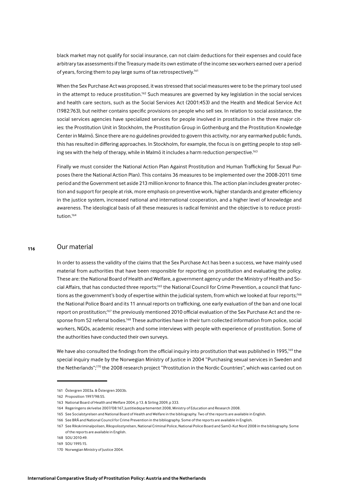black market may not qualify for social insurance, can not claim deductions for their expenses and could face arbitrary tax assessments if the Treasury made its own estimate of the income sex workers earned over a period of years, forcing them to pay large sums of tax retrospectively.<sup>161</sup>

When the Sex Purchase Act was proposed, it was stressed that social measures were to be the primary tool used in the attempt to reduce prostitution.<sup>162</sup> Such measures are governed by key legislation in the social services and health care sectors, such as the Social Services Act (2001:453) and the Health and Medical Service Act (1982:763), but neither contains specific provisions on people who sell sex. In relation to social assistance, the social services agencies have specialized services for people involved in prostitution in the three major cities: the Prostitution Unit in Stockholm, the Prostitution Group in Gothenburg and the Prostitution Knowledge Center in Malmö. Since there are no guidelines provided to govern this activity, nor any earmarked public funds, this has resulted in differing approaches. In Stockholm, for example, the focus is on getting people to stop selling sex with the help of therapy, while in Malmö it includes a harm reduction perspective.<sup>163</sup>

Finally we must consider the National Action Plan Against Prostitution and Human Trafficking for Sexual Purposes (here the National Action Plan). This contains 36 measures to be implemented over the 2008-2011 time period and the Government set aside 213 million kronor to finance this. The action plan includes greater protection and support for people at risk, more emphasis on preventive work, higher standards and greater efficiency in the justice system, increased national and international cooperation, and a higher level of knowledge and awareness. The ideological basis of all these measures is radical feminist and the objective is to reduce prostitution.<sup>164</sup>

#### Our material 116

In order to assess the validity of the claims that the Sex Purchase Act has been a success, we have mainly used material from authorities that have been responsible for reporting on prostitution and evaluating the policy. These are: the National Board of Health and Welfare, a government agency under the Ministry of Health and Social Affairs, that has conducted three reports:<sup>165</sup> the National Council for Crime Prevention, a council that functions as the government's body of expertise within the judicial system, from which we looked at four reports;<sup>166</sup> the National Police Board and its 11 annual reports on trafficking, one early evaluation of the ban and one local report on prostitution;<sup>167</sup> the previously mentioned 2010 official evaluation of the Sex Purchase Act and the response from 52 referral bodies.<sup>168</sup> These authorities have in their turn collected information from police, social workers. NGOs, academic research and some interviews with people with experience of prostitution. Some of the authorities have conducted their own surveys.

We have also consulted the findings from the official inquiry into prostitution that was published in 1995,<sup>169</sup> the special inquiry made by the Norwegian Ministry of Justice in 2004 "Purchasing sexual services in Sweden and the Netherlands";<sup>170</sup> the 2008 research project "Prostitution in the Nordic Countries", which was carried out on

<sup>161</sup> Östergren 2003a. & Östergren 2003b.

<sup>162</sup> Proposition 1997/98:55.

<sup>163</sup> National Board of Health and Welfare 2004 n 13 & Sirling 2009 n 333

<sup>164</sup> Regeringens skrivelse 2007/08:167, Justitiedepartementet 2008, Ministry of Education and Research 2008.

<sup>165</sup> See Socialstyrelsen and National Board of Health and Welfare in the bibliography. Two of the reports are available in English.

<sup>166</sup> See BRÅ and National Council for Crime Prevention in the bibliography. Some of the reports are available in English.

<sup>167</sup> See Rikskriminalpolisen, Rikspolisstyrelsen, National Criminal Police, National Police Board and SamO-Kut Nord 2008 in the bibliography. Some of the reports are available in English.

<sup>168</sup> SOLL2010:49

<sup>169</sup> SOU 1995:15.

<sup>170</sup> Norwegian Ministry of Justice 2004.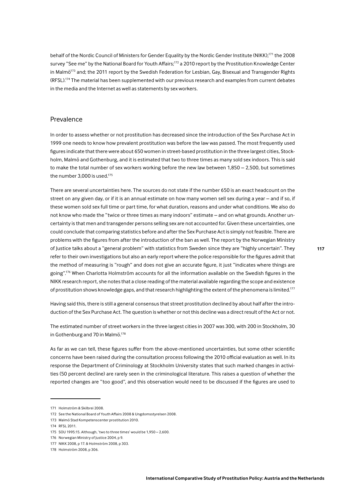behalf of the Nordic Council of Ministers for Gender Equality by the Nordic Gender Institute (NIKK);<sup>171</sup> the 2008 survey "See me" by the National Board for Youth Affairs;<sup>172</sup> a 2010 report by the Prostitution Knowledge Center in Malmö<sup>173</sup> and; the 2011 report by the Swedish Federation for Lesbian, Gay, Bisexual and Transgender Rights (RFSL).<sup>174</sup> The material has been supplemented with our previous research and examples from current debates in the media and the Internet as well as statements by sex workers.

# Prevalence

In order to assess whether or not prostitution has decreased since the introduction of the Sex Purchase Act in 1999 one needs to know how prevalent prostitution was before the law was passed. The most frequently used figures indicate that there were about 650 women in street-based prostitution in the three largest cities, Stockholm, Malmö and Gothenburg, and it is estimated that two to three times as many sold sex indoors. This is said to make the total number of sex workers working before the new law between  $1,850 - 2,500$ , but sometimes the number  $3.000$  is used.<sup>175</sup>

There are several uncertainties here. The sources do not state if the number 650 is an exact headcount on the street on any given day, or if it is an annual estimate on how many women sell sex during a year – and if so, if these women sold sex full time or part time, for what duration, reasons and under what conditions. We also do not know who made the "twice or three times as many indoors" estimate - and on what grounds. Another uncertainty is that men and transgender persons selling sex are not accounted for. Given these uncertainties, one could conclude that comparing statistics before and after the Sex Purchase Act is simply not feasible. There are problems with the figures from after the introduction of the ban as well. The report by the Norwegian Ministry of Justice talks about a "general problem" with statistics from Sweden since they are "highly uncertain". They refer to their own investigations but also an early report where the police responsible for the figures admit that the method of measuring is "rough" and does not give an accurate figure, it just "indicates where things are going".<sup>176</sup> When Charlotta Holmström accounts for all the information available on the Swedish figures in the NIKK research report, she notes that a close reading of the material available regarding the scope and existence of prostitution shows knowledge gaps, and that research highlighting the extent of the phenomena is limited.<sup>177</sup>

Having said this, there is still a general consensus that street prostitution declined by about half after the introduction of the Sex Purchase Act. The question is whether or not this decline was a direct result of the Act or not.

The estimated number of street workers in the three largest cities in 2007 was 300, with 200 in Stockholm, 30 in Gothenburg and 70 in Malmö.<sup>178</sup>

As far as we can tell, these figures suffer from the above-mentioned uncertainties, but some other scientific concerns have been raised during the consultation process following the 2010 official evaluation as well. In its response the Department of Criminology at Stockholm University states that such marked changes in activities (50 percent decline) are rarely seen in the criminological literature. This raises a question of whether the reported changes are "too good", and this observation would need to be discussed if the figures are used to

<sup>171</sup> Holmström & Skilbrei 2008.

<sup>172</sup> See the National Board of Youth Affairs 2008 & Ungdomsstyrelsen 2008.

<sup>173</sup> Malmö Stad Kompetenscenter prostitution 2010.

<sup>174</sup> RFSI 2011

<sup>175</sup> SOU 1995:15. Although, 'two to three times' would be 1,950 - 2,600.

<sup>176</sup> Norwegian Ministry of Justice 2004, p 9.

<sup>177</sup> NIKK 2008, p 17, & Holmström 2008, p 303.

<sup>178</sup> Holmström 2008, p 306.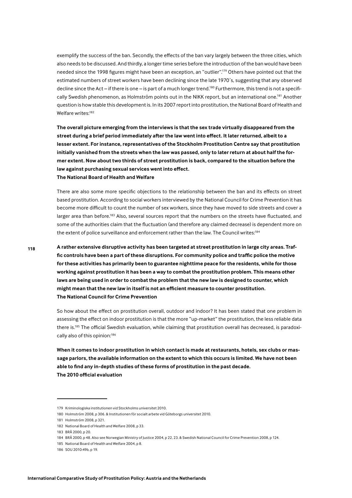exemplify the success of the ban. Secondly, the effects of the ban vary largely between the three cities, which also needs to be discussed. And thirdly, a longer time series before the introduction of the ban would have been needed since the 1998 figures might have been an exception, an "outlier".<sup>179</sup> Others have pointed out that the estimated numbers of street workers have been declining since the late 1970's, suggesting that any observed decline since the Act – if there is one – is part of a much longer trend.<sup>180</sup> Furthermore, this trend is not a specifically Swedish phenomenon, as Holmström points out in the NIKK report, but an international one.<sup>181</sup> Another question is how stable this development is. In its 2007 report into prostitution, the National Board of Health and Welfare writes:<sup>182</sup>

The overall picture emerging from the interviews is that the sex trade virtually disappeared from the street during a brief period immediately after the law went into effect. It later returned, albeit to a lesser extent. For instance, representatives of the Stockholm Prostitution Centre say that prostitution initially vanished from the streets when the law was passed, only to later return at about half the former extent. Now about two thirds of street prostitution is back, compared to the situation before the law against purchasing sexual services went into effect. The National Board of Health and Welfare

There are also some more specific objections to the relationship between the ban and its effects on street based prostitution. According to social workers interviewed by the National Council for Crime Prevention it has become more difficult to count the number of sex workers, since they have moved to side streets and cover a larger area than before.<sup>183</sup> Also, several sources report that the numbers on the streets have fluctuated, and some of the authorities claim that the fluctuation (and therefore any claimed decrease) is dependent more on the extent of police surveillance and enforcement rather than the law. The Council writes:<sup>184</sup>

A rather extensive disruptive activity has been targeted at street prostitution in large city areas. Traffic controls have been a part of these disruptions. For community police and traffic police the motive for these activities has primarily been to guarantee nighttime peace for the residents, while for those working against prostitution it has been a way to combat the prostitution problem. This means other laws are being used in order to combat the problem that the new law is designed to counter, which might mean that the new law in itself is not an efficient measure to counter prostitution. The National Council for Crime Prevention

So how about the effect on prostitution overall, outdoor and indoor? It has been stated that one problem in assessing the effect on indoor prostitution is that the more "up-market" the prostitution, the less reliable data there is.<sup>185</sup> The official Swedish evaluation, while claiming that prostitution overall has decreased, is paradoxically also of this opinion:<sup>186</sup>

When it comes to indoor prostitution in which contact is made at restaurants, hotels, sex clubs or massage parlors, the available information on the extent to which this occurs is limited. We have not been able to find any in-depth studies of these forms of prostitution in the past decade. The 2010 official evaluation

<sup>179</sup> Kriminologiska institutionen vid Stockholms universitet 2010.

<sup>180</sup> Holmström 2008, p 306. & Institutionen för socialt arbete vid Göteborgs universitet 2010.

<sup>181</sup> Holmström 2008 n 321

<sup>182</sup> National Board of Health and Welfare 2008, p 33.

<sup>183</sup> BRÅ 2000. p 20.

<sup>184</sup> BRÅ 2000, p 48. Also see Norwegian Ministry of Justice 2004, p 22, 23. & Swedish National Council for Crime Prevention 2008, p 124.

<sup>185</sup> National Board of Health and Welfare 2004, p.8.

<sup>186</sup> SOU 2010:49b, p 19.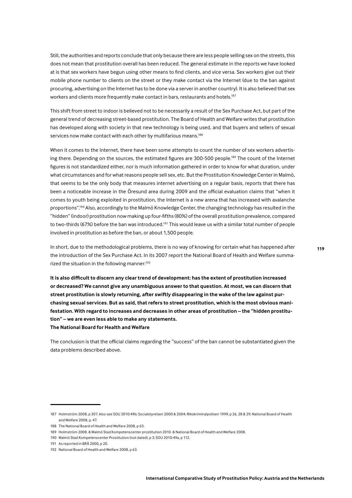Still, the authorities and reports conclude that only because there are less people selling sex on the streets, this does not mean that prostitution overall has been reduced. The general estimate in the reports we have looked at is that sex workers have begun using other means to find clients, and vice versa. Sex workers give out their mobile phone number to clients on the street or they make contact via the Internet (due to the ban against procuring, advertising on the Internet has to be done via a server in another country). It is also believed that sex workers and clients more frequently make contact in bars, restaurants and hotels.<sup>187</sup>

This shift from street to indoor is believed not to be necessarily a result of the Sex Purchase Act, but part of the general trend of decreasing street-based prostitution. The Board of Health and Welfare writes that prostitution has developed along with society in that new technology is being used, and that buyers and sellers of sexual services now make contact with each other by multifarious means.<sup>188</sup>

When it comes to the Internet, there have been some attempts to count the number of sex workers advertising there. Depending on the sources, the estimated figures are 300-500 people.<sup>189</sup> The count of the Internet figures is not standardized either, nor is much information gathered in order to know for what duration, under what circumstances and for what reasons people sell sex, etc. But the Prostitution Knowledge Center in Malmö, that seems to be the only body that measures internet advertising on a regular basis, reports that there has been a noticeable increase in the Öresund area during 2009 and the official evaluation claims that "when it comes to youth being exploited in prostitution, the Internet is a new arena that has increased with avalanche proportions".<sup>190</sup> Also, accordingly to the Malmö Knowledge Center, the changing technology has resulted in the "hidden" (indoor) prostitution now making up four-fifths (80%) of the overall prostitution prevalence, compared to two-thirds (67%) before the ban was introduced.<sup>191</sup> This would leave us with a similar total number of people involved in prostitution as before the ban, or about 1,500 people.

In short, due to the methodological problems, there is no way of knowing for certain what has happened after the introduction of the Sex Purchase Act. In its 2007 report the National Board of Health and Welfare summarized the situation in the following manner:<sup>192</sup>

It is also difficult to discern any clear trend of development: has the extent of prostitution increased or decreased? We cannot give any unambiguous answer to that question. At most, we can discern that street prostitution is slowly returning, after swiftly disappearing in the wake of the law against purchasing sexual services. But as said, that refers to street prostitution, which is the most obvious manifestation. With regard to increases and decreases in other areas of prostitution - the "hidden prostitution" - we are even less able to make any statements. The National Board for Health and Welfare

The conclusion is that the official claims regarding the "success" of the ban cannot be substantiated given the data problems described above.

<sup>187</sup> Holmström 2008, p 307. Also see SOU 2010:49b; Socialstyrelsen 2000 & 2004; Rikskriminalpolisen 1999, p 26, 28 & 29; National Board of Health and Welfare 2008 n 47

<sup>188</sup> The National Board of Health and Welfare 2008, p 63.

<sup>189</sup> Holmström 2008. & Malmö Stad Kompetenscenter prostitution 2010. & National Board of Health and Welfare 2008.

<sup>190</sup> Malmö Stad Kompetenscenter Prostitution (not dated), p 3; SOU 2010:49a, p 112.

<sup>191</sup> As reported in BRÅ 2000, p.20.

<sup>192</sup> National Board of Health and Welfare 2008, p 63.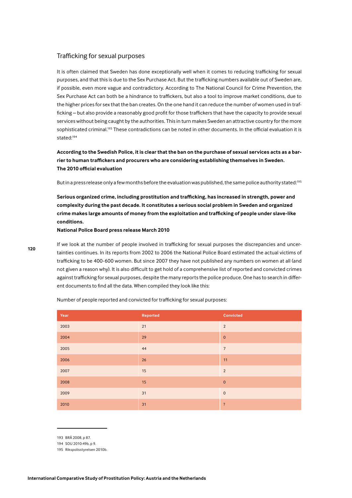# Trafficking for sexual purposes

It is often claimed that Sweden has done exceptionally well when it comes to reducing trafficking for sexual purposes, and that this is due to the Sex Purchase Act. But the trafficking numbers available out of Sweden are, If possible, even more vague and contradictory. According to The National Council for Crime Prevention, the Sex Purchase Act can both be a hindrance to traffickers, but also a tool to improve market conditions, due to the higher prices for sex that the ban creates. On the one hand it can reduce the number of women used in trafficking - but also provide a reasonably good profit for those traffickers that have the capacity to provide sexual services without being caught by the authorities. This in turn makes Sweden an attractive country for the more sophisticated criminal.<sup>193</sup> These contradictions can be noted in other documents. In the official evaluation it is stated:<sup>194</sup>

**According to the Swedish Police, it is clear that the ban on the purchase of sexual services acts as a bar**rier to human traffickers and procurers who are considering establishing themselves in Sweden. **The 2010 official evaluation** 

But in a press release only a few months before the evaluation was published, the same police authority stated:<sup>195</sup>

Serious organized crime, including prostitution and trafficking, has increased in strength, power and **complexity during the past decade. It constitutes a serious social problem in Sweden and organized**  crime makes large amounts of money from the exploitation and trafficking of people under slave-like **conditions.** 

**National Police Board press release March 2010**

If we look at the number of people involved in trafficking for sexual purposes the discrepancies and uncertainties continues. In its reports from 2002 to 2006 the National Police Board estimated the actual victims of trafficking to be 400-600 women. But since 2007 they have not published any numbers on women at all (and not given a reason why). It is also difficult to get hold of a comprehensive list of reported and convicted crimes against trafficking for sexual purposes, despite the many reports the police produce. One has to search in different documents to find all the data. When compiled they look like this:

| Year | Reported | Convicted               |
|------|----------|-------------------------|
| 2003 | 21       | $\overline{2}$          |
| 2004 | 29       | $\pmb{0}$               |
| 2005 | 44       | $\overline{7}$          |
| 2006 | 26       | 11                      |
| 2007 | 15       | $\overline{2}$          |
| 2008 | 15       | $\mathbf 0$             |
| 2009 | 31       | $\mathsf{O}$            |
| 2010 | 31       | $\overline{\mathbf{?}}$ |

Number of people reported and convicted for trafficking for sexual purposes:

<sup>193</sup> BRÅ 2008. p 87.

<sup>194</sup> SQU 2010:49b, p 9.

<sup>195</sup> Rikspolisstyrelsen 2010b.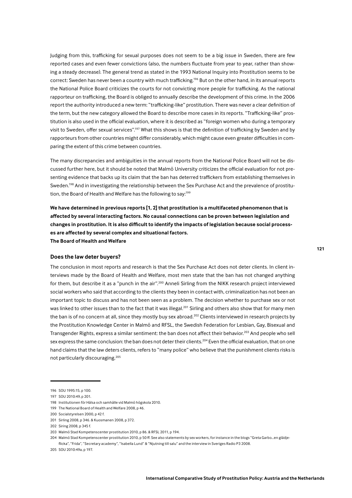Judging from this, trafficking for sexual purposes does not seem to be a big issue in Sweden, there are few reported cases and even fewer convictions (also, the numbers fluctuate from year to year, rather than showing a steady decrease). The general trend as stated in the 1993 National Inquiry into Prostitution seems to be correct: Sweden has never been a country with much trafficking.<sup>196</sup> But on the other hand, in its annual reports the National Police Board criticizes the courts for not convicting more people for trafficking. As the national rapporteur on trafficking, the Board is obliged to annually describe the development of this crime. In the 2006 report the authority introduced a new term: "trafficking-like" prostitution. There was never a clear definition of the term, but the new category allowed the Board to describe more cases in its reports. "Trafficking-like" prostitution is also used in the official evaluation, where it is described as "foreign women who during a temporary visit to Sweden, offer sexual services".<sup>197</sup> What this shows is that the definition of trafficking by Sweden and by rapporteurs from other countries might differ considerably, which might cause even greater difficulties in comparing the extent of this crime between countries.

The many discrepancies and ambiguities in the annual reports from the National Police Board will not be discussed further here, but it should be noted that Malmö University criticizes the official evaluation for not presenting evidence that backs up its claim that the ban has deterred traffickers from establishing themselves in Sweden.<sup>198</sup> And in investigating the relationship between the Sex Purchase Act and the prevalence of prostitution, the Board of Health and Welfare has the following to say:<sup>199</sup>

We have determined in previous reports [1, 2] that prostitution is a multifaceted phenomenon that is affected by several interacting factors. No causal connections can be proven between legislation and changes in prostitution. It is also difficult to identify the impacts of legislation because social processes are affected by several complex and situational factors. The Board of Health and Welfare

Does the law deter buyers?

The conclusion in most reports and research is that the Sex Purchase Act does not deter clients. In client interviews made by the Board of Health and Welfare, most men state that the ban has not changed anything for them, but describe it as a "punch in the air",<sup>200</sup> Anneli Sirling from the NIKK research project interviewed social workers who said that according to the clients they been in contact with, criminalization has not been an important topic to discuss and has not been seen as a problem. The decision whether to purchase sex or not was linked to other issues than to the fact that it was illegal.<sup>201</sup> Sirling and others also show that for many men the ban is of no concern at all, since they mostly buy sex abroad.<sup>202</sup> Clients interviewed in research projects by the Prostitution Knowledge Center in Malmö and RFSL, the Swedish Federation for Lesbian, Gay, Bisexual and Transgender Rights, express a similar sentiment: the ban does not affect their behavior.<sup>203</sup> And people who sell sex express the same conclusion: the ban does not deter their clients.<sup>204</sup> Even the official evaluation, that on one hand claims that the law deters clients, refers to "many police" who believe that the punishment clients risks is not particularly discouraging.<sup>205</sup>

205 SOU 2010:49a, p 197.

<sup>196</sup> SOU 1995:15, p 100.

<sup>197</sup> SOU 2010:49, p 201.

<sup>198</sup> Institutionen för Hälsa och samhälle vid Malmö högskola 2010

<sup>199</sup> The National Board of Health and Welfare 2008, p 46.

<sup>200</sup> Socialstyrelsen 2000, p 42 f.

<sup>201</sup> Sirling 2008, p 346. & Kuosmanen 2008, p 372.

<sup>202</sup> Siring 2008, p 345 f.

<sup>203</sup> Malmö Stad Kompetenscenter prostitution 2010, p 86. & RFSL 2011, p 194.

<sup>204</sup> Malmö Stad Kompetenscenter prostitution 2010, p 50 ff. See also statements by sex workers, for instance in the blogs "Greta Garbo...en glädjeflicka", "Frida", "Secretary academy", "Isabella Lund" & "Njutning till salu" and the interview in Sveriges Radio P3 2008.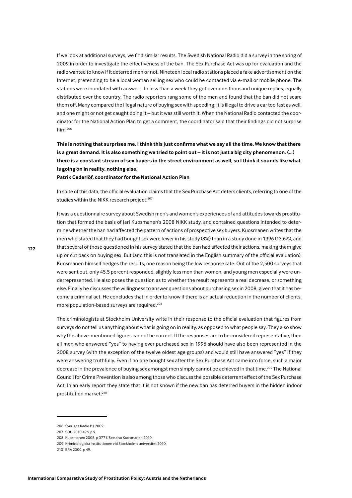If we look at additional surveys, we find similar results. The Swedish National Radio did a survey in the spring of 2009 in order to investigate the effectiveness of the ban. The Sex Purchase Act was up for evaluation and the radio wanted to know if it deterred men or not. Nineteen local radio stations placed a fake advertisement on the Internet, pretending to be a local woman selling sex who could be contacted via e-mail or mobile phone. The stations were inundated with answers. In less than a week they got over one thousand unique replies, equally distributed over the country. The radio reporters rang some of the men and found that the ban did not scare them off. Many compared the illegal nature of buying sex with speeding; it is illegal to drive a car too fast as well, and one might or not get caught doing it - but it was still worth it. When the National Radio contacted the coordinator for the National Action Plan to get a comment, the coordinator said that their findings did not surprise  $him: <sup>206</sup>$ 

This is nothing that surprises me. I think this just confirms what we say all the time. We know that there is a great demand. It is also something we tried to point out - it is not just a big city phenomenon. (...) there is a constant stream of sex buyers in the street environment as well, so I think it sounds like what is going on in reality, nothing else.

Patrik Cederlöf, coordinator for the National Action Plan

In spite of this data, the official evaluation claims that the Sex Purchase Act deters clients, referring to one of the studies within the NIKK research project.<sup>207</sup>

It was a questionnaire survey about Swedish men's and women's experiences of and attitudes towards prostitution that formed the basis of Jari Kuosmanen's 2008 NIKK study, and contained questions intended to determine whether the ban had affected the pattern of actions of prospective sex buyers. Kuosmanen writes that the men who stated that they had bought sex were fewer in his study (8%) than in a study done in 1996 (13.6%), and that several of those questioned in his survey stated that the ban had affected their actions, making them give up or cut back on buying sex. But (and this is not translated in the English summary of the official evaluation), Kuosmanen himself hedges the results, one reason being the low response rate. Out of the 2,500 surveys that were sent out, only 45.5 percent responded, slightly less men than women, and young men especially were underrepresented. He also poses the question as to whether the result represents a real decrease, or something else. Finally he discusses the willingness to answer questions about purchasing sex in 2008, given that it has become a criminal act. He concludes that in order to know if there is an actual reduction in the number of clients, more population-based surveys are required.<sup>208</sup>

The criminologists at Stockholm University write in their response to the official evaluation that figures from surveys do not tell us anything about what is going on in reality, as opposed to what people say. They also show why the above-mentioned figures cannot be correct. If the responses are to be considered representative, then all men who answered "yes" to having ever purchased sex in 1996 should have also been represented in the 2008 survey (with the exception of the twelve oldest age groups) and would still have answered "yes" if they were answering truthfully. Even if no one bought sex after the Sex Purchase Act came into force, such a major decrease in the prevalence of buying sex amongst men simply cannot be achieved in that time.<sup>209</sup> The National Council for Crime Prevention is also among those who discuss the possible deterrent effect of the Sex Purchase Act. In an early report they state that it is not known if the new ban has deterred buyers in the hidden indoor prostitution market.<sup>210</sup>

<sup>206</sup> Sveriges Radio P1 2009.

<sup>207</sup> SOU 2010:49b, p 9.

<sup>208</sup> Kuosmanen 2008, p 377 f. See also Kuosmanen 2010.

<sup>209</sup> Kriminologiska institutionen vid Stockholms universitet 2010.

<sup>210</sup> BRÅ 2000, p 49.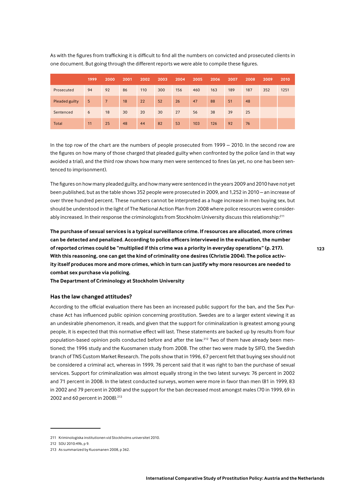|                | 1999 | 2000 | 2001      | 2002 | 2003 | 2004 | 2005 | 2006 | 2007 | 2008 | 2009 | 2010 |
|----------------|------|------|-----------|------|------|------|------|------|------|------|------|------|
| Prosecuted     | 94   | 92   | 86        | 110  | 300  | 156  | 460  | 163  | 189  | 187  | 352  | 1251 |
| Pleaded guilty | 5    | 7    | <b>18</b> | 22   | 52   | 26   | 47   | 88   | 51   | 48   |      |      |
| Sentenced      | 6    | 18   | 30        | 20   | 30   | 27   | 56   | 38   | 39   | 25   |      |      |
| <b>Total</b>   | 11   | 25   | 48        | 44   | 82   | 53   | 103  | 126  | 92   | 76   |      |      |

As with the figures from trafficking it is difficult to find all the numbers on convicted and prosecuted clients in one document. But going through the different reports we were able to compile these figures.

In the top row of the chart are the numbers of people prosecuted from 1999 - 2010. In the second row are the figures on how many of those charged that pleaded guilty when confronted by the police (and in that way avoided a trial), and the third row shows how many men were sentenced to fines (as yet, no one has been sentenced to imprisonment).

The figures on how many pleaded guilty, and how many were sentenced in the years 2009 and 2010 have not yet been published, but as the table shows 352 people were prosecuted in 2009, and 1,252 in 2010 - an increase of over three hundred percent. These numbers cannot be interpreted as a huge increase in men buying sex, but should be understood in the light of The National Action Plan from 2008 where police resources were considerably increased. In their response the criminologists from Stockholm University discuss this relationship:<sup>211</sup>

The purchase of sexual services is a typical surveillance crime. If resources are allocated, more crimes can be detected and penalized. According to police officers interviewed in the evaluation, the number of reported crimes could be "multiplied if this crime was a priority in everyday operations" (p. 217). With this reasoning, one can get the kind of criminality one desires (Christie 2004). The police activity itself produces more and more crimes, which in turn can justify why more resources are needed to combat sex purchase via policing.

The Department of Criminology at Stockholm University

## Has the law changed attitudes?

According to the official evaluation there has been an increased public support for the ban, and the Sex Purchase Act has influenced public opinion concerning prostitution. Swedes are to a larger extent viewing it as an undesirable phenomenon, it reads, and given that the support for criminalization is greatest among young people, it is expected that this normative effect will last. These statements are backed up by results from four population-based opinion polls conducted before and after the law.<sup>212</sup> Two of them have already been mentioned: the 1996 study and the Kuosmanen study from 2008. The other two were made by SIFO, the Swedish branch of TNS Custom Market Research. The polls show that in 1996, 67 percent felt that buying sex should not be considered a criminal act, whereas in 1999, 76 percent said that it was right to ban the purchase of sexual services. Support for criminalization was almost equally strong in the two latest surveys: 76 percent in 2002 and 71 percent in 2008. In the latest conducted surveys, women were more in favor than men (81 in 1999, 83 in 2002 and 79 percent in 2008) and the support for the ban decreased most amongst males (70 in 1999, 69 in 2002 and 60 percent in 2008).<sup>213</sup>

<sup>211</sup> Kriminologiska institutionen vid Stockholms universitet 2010.

<sup>212</sup> SOU 2010:49b, p 9.

<sup>213</sup> As summarized by Kuosmanen 2008, p 362.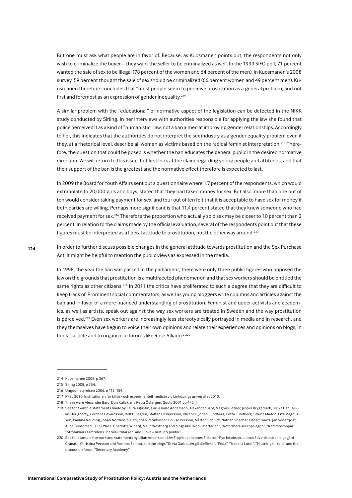But one must ask what people are in favor of. Because, as Kuosmanen points out, the respondents not only wish to criminalize the buyer - they want the seller to be criminalized as well. In the 1999 SIFO poll, 71 percent wanted the sale of sex to be illegal (78 percent of the women and 64 percent of the men). In Kuosmanen's 2008 survey, 59 percent thought the sale of sex should be criminalized (66 percent women and 49 percent men). Kuosmanen therefore concludes that "most people seem to perceive prostitution as a general problem, and not first and foremost as an expression of gender inequality.<sup>214</sup>

A similar problem with the "educational" or normative aspect of the legislation can be detected in the NIKK study conducted by Sirling. In her interviews with authorities responsible for applying the law she found that police perceived it as a kind of "humanistic" law, not a ban aimed at improving gender relationships. Accordingly to her, this indicates that the authorities do not interpret the sex industry as a gender equality problem even if they, at a rhetorical level, describe all women as victims based on the radical feminist interpretation.<sup>215</sup> Therefore, the question that could be posed is whether the ban educates the general public in the desired normative direction. We will return to this issue, but first look at the claim regarding young people and attitudes, and that their support of the ban is the greatest and the normative effect therefore is expected to last.

In 2009 the Board for Youth Affairs sent out a questionnaire where 1.7 percent of the respondents, which would extrapolate to 20,000 girls and boys, stated that they had taken money for sex. But also, more than one out of ten would consider taking payment for sex, and four out of ten felt that it is acceptable to have sex for money if both parties are willing. Perhaps more significant is that 11.4 percent stated that they knew someone who had received payment for sex.<sup>216</sup> Therefore the proportion who actually sold sex may be closer to 10 percent than 2 percent. In relation to the claims made by the official evaluation, several of the respondents point out that these figures must be interpreted as a liberal attitude to prostitution, not the other way around.<sup>217</sup>

In order to further discuss possible changes in the general attitude towards prostitution and the Sex Purchase Act, it might be helpful to mention the public views as expressed in the media.

In 1998, the year the ban was passed in the parliament, there were only three public figures who opposed the law on the grounds that prostitution is a multifaceted phenomenon and that sex workers should be entitled the same rights as other citizens.<sup>218</sup> In 2011 the critics have proliferated to such a degree that they are difficult to keep track of. Prominent social commentators, as well as young bloggers write columns and articles against the ban and in favor of a more nuanced understanding of prostitution. Feminist and queer activists and academics, as well as artists, speak out against the way sex workers are treated in Sweden and the way prostitution is perceived.<sup>219</sup> Even sex workers are increasingly less stereotypically portrayed in media and in research, and they themselves have begun to voice their own opinions and relate their experiences and opinions on blogs, in books, article and to organize in forums like Rose Alliance.<sup>220</sup>

<sup>214</sup> Kuosmanen 2008, p 367.

<sup>215</sup> Siring 2008, p 354.

<sup>216</sup> Ungdomstyrelsen 2006, p 113, 154.

<sup>217</sup> RFSL 2010; Institutionen för klinisk och experimentell medicin vid Linköpings universitet 2010.

<sup>218.</sup> These were Alexander Bard, Don Kulick and Petra Östergen, Gould 2001 pp. 445 ff.

<sup>219</sup> See for example statements made by Laura Agustín, Carl-Erland Andersson, Alexander Bard, Magnus Betnér, Jesper Brygemark, Ulrika Dahl, Niklas Dougherty, Cordelia Edvardsson, Rolf Hillegren, Staffan Heimersson, Ida Kock, Johan Lundberg, Lotta Lundberg, Sakine Madon, Liza Magnusson, Paulina Neuding, Johan Nordansjö, Carl Johan Rehnbinder, Louise Persson, Mårten Schultz, Nathan Shachar, Oscar Swartz, Jan Söderqvist, Alice Teodorescu, Dick Wase, Charlotte Wiberg, Malin Westberg and blogs like "Röd Libertarian", "Reformera sexköpslagen", "Kamferdroppar", "Strötankar i samtidens liberala utmarker" and "Loke – kultur & politik".

<sup>220</sup> See for example the work and statements by Lilian Andersson, Liw Enqvist, Johannes Eriksson, Pye Jakobson, Linnea Edvardsdotter, Ingegärd Granath, Christina Persson and Rosinha Sambo, and the blogs "Greta Garbo...en glädjeflicka", "Frida", "Isabella Lund", "Njutning till salu" and the discussion forum "Secretary Academy".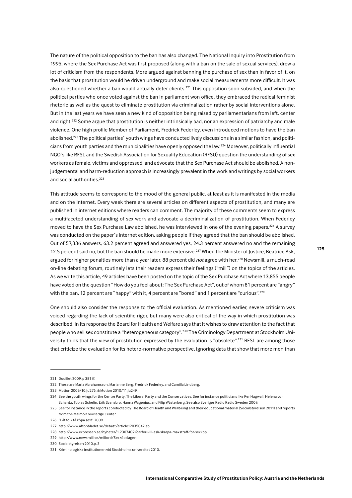The nature of the political opposition to the ban has also changed. The National Inquiry into Prostitution from 1995, where the Sex Purchase Act was first proposed (along with a ban on the sale of sexual services), drew a lot of criticism from the respondents. More argued against banning the purchase of sex than in favor of it, on the basis that prostitution would be driven underground and make social measurements more difficult. It was also questioned whether a ban would actually deter clients.<sup>221</sup> This opposition soon subsided, and when the political parties who once voted against the ban in parliament won office, they embraced the radical feminist rhetoric as well as the quest to eliminate prostitution via criminalization rather by social interventions alone. But in the last years we have seen a new kind of opposition being raised by parliamentarians from left, center and right.<sup>222</sup> Some argue that prostitution is neither intrinsically bad, nor an expression of patriarchy and male violence. One high profile Member of Parliament, Fredrick Federley, even introduced motions to have the ban abolished.<sup>223</sup> The political parties' youth wings have conducted lively discussions in a similar fashion, and politicians from youth parties and the municipalities have openly opposed the law.<sup>224</sup> Moreover, politically influential NGO's like RFSL and the Swedish Association for Sexuality Education (RFSU) question the understanding of sex workers as female, victims and oppressed, and advocate that the Sex Purchase Act should be abolished. A nonjudgemental and harm-reduction approach is increasingly prevalent in the work and writings by social workers and social authorities.<sup>225</sup>

This attitude seems to correspond to the mood of the general public, at least as it is manifested in the media and on the Internet. Every week there are several articles on different aspects of prostitution, and many are published in internet editions where readers can comment. The majority of these comments seem to express a multifaceted understanding of sex work and advocate a decriminalization of prostitution. When Federley moved to have the Sex Purchase Law abolished, he was interviewed in one of the evening papers.<sup>226</sup> A survey was conducted on the paper's internet edition, asking people if they agreed that the ban should be abolished. Out of 57,336 answers, 63.2 percent agreed and answered yes, 24.3 percent answered no and the remaining 12.5 percent said no, but the ban should be made more extensive.<sup>227</sup> When the Minister of Justice, Beatrice Ask, argued for higher penalties more than a year later, 88 percent did not agree with her.<sup>228</sup> Newsmill, a much-read on-line debating forum, routinely lets their readers express their feelings ("mill") on the topics of the articles. As we write this article, 49 articles have been posted on the topic of the Sex Purchase Act where 13,855 people have voted on the question "How do you feel about: The Sex Purchase Act", out of whom 81 percent are "angry" with the ban, 12 percent are "happy" with it, 4 percent are "bored" and 1 percent are "curious".<sup>229</sup>

One should also consider the response to the official evaluation. As mentioned earlier, severe criticism was voiced regarding the lack of scientific rigor, but many were also critical of the way in which prostitution was described. In its response the Board for Health and Welfare says that it wishes to draw attention to the fact that people who sell sex constitute a "heterogeneous category".<sup>230</sup> The Criminology Department at Stockholm University think that the view of prostitution expressed by the evaluation is "obsolete".<sup>231</sup> RFSL are among those that criticize the evaluation for its hetero-normative perspective, ignoring data that show that more men than

230 Socialstyrelsen 2010.p.3

<sup>221</sup> Dodillet 2009, p 381 ff.

<sup>222</sup> These are Maria Abrahamsson, Marianne Berg, Fredrick Federley, and Camilla Lindberg.

<sup>223</sup> Motion 2009/10:Ju276. & Motion 2010/11:Ju249.

<sup>224</sup> See the youth wings for the Centre Party, The Liberal Party and the Conservatives. See for instance politicians like Per Hagwall, Helena von Schantz, Tobias Schelin, Erik Svansbro, Hanna Wagenius, and Filip Wästerberg, See also Sveriges Radio Radio Sweden 2009,

<sup>225</sup> See for instance in the reports conducted by The Board of Health and Wellbeing and their educational material (Socialstyrelsen 2011) and reports from the Malmö Knowledge Center.

<sup>226 &</sup>quot;Låt folk få köna sex!" 2009

<sup>227</sup> http://www.aftonbladet.se/debatt/article12035042.ab

<sup>228</sup> http://www.expressen.se/nyheter/1.2307402/darfor-vill-ask-skarpa-maxstraff-for-sexkop

<sup>229</sup> http://www.newsmill.se/millord/Sexköpslagen

<sup>231</sup> Kriminologiska institutionen vid Stockholms universitet 2010.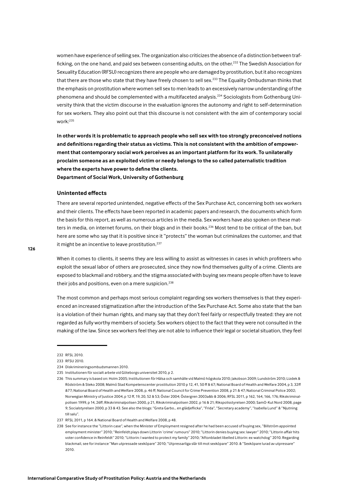women have experience of selling sex. The organization also criticizes the absence of a distinction between trafficking, on the one hand, and paid sex between consenting adults, on the other.<sup>232</sup> The Swedish Association for Sexuality Education (RFSU) recognizes there are people who are damaged by prostitution, but it also recognizes that there are those who state that they have freely chosen to sell sex.<sup>233</sup> The Equality Ombudsman thinks that the emphasis on prostitution where women sell sex to men leads to an excessively narrow understanding of the phenomena and should be complemented with a multifaceted analysis.<sup>234</sup> Sociologists from Gothenburg University think that the victim discourse in the evaluation ignores the autonomy and right to self-determination for sex workers. They also point out that this discourse is not consistent with the aim of contemporary social  $work<sup>235</sup>$ 

In other words it is problematic to approach people who sell sex with too strongly preconceived notions and definitions regarding their status as victims. This is not consistent with the ambition of empowerment that contemporary social work perceives as an important platform for its work. To unilaterally proclaim someone as an exploited victim or needy belongs to the so called paternalistic tradition where the experts have power to define the clients.

Department of Social Work, University of Gothenburg

# **Unintented effects**

There are several reported unintended, negative effects of the Sex Purchase Act, concerning both sex workers and their clients. The effects have been reported in academic papers and research, the documents which form the basis for this report, as well as numerous articles in the media. Sex workers have also spoken on these matters in media, on internet forums, on their blogs and in their books.<sup>236</sup> Most tend to be critical of the ban, but here are some who say that it is positive since it "protects" the woman but criminalizes the customer, and that it might be an incentive to leave prostitution.<sup>237</sup>

When it comes to clients, it seems they are less willing to assist as witnesses in cases in which profiteers who exploit the sexual labor of others are prosecuted, since they now find themselves guilty of a crime. Clients are exposed to blackmail and robbery, and the stigma associated with buying sex means people often have to leave their jobs and positions, even on a mere suspicion.<sup>238</sup>

The most common and perhaps most serious complaint regarding sex workers themselves is that they experienced an increased stigmatization after the introduction of the Sex Purchase Act. Some also state that the ban is a violation of their human rights, and many say that they don't feel fairly or respectfully treated: they are not regarded as fully worthy members of society. Sex workers object to the fact that they were not consulted in the making of the law. Since sex workers feel they are not able to influence their legal or societal situation, they feel

<sup>232</sup> RFSL 2010.

<sup>233</sup> RESU 2010

<sup>234</sup> Diskrimineringsombudsmannen 2010.

<sup>235</sup> Institutionen för socialt arbete vid Göteborgs universitet 2010, p 2.

<sup>236</sup> This summary is based on: Holm 2005; Institutionen för Hälsa och samhälle vid Malmö högskola 2010; Jakobson 2009; Lundström 2010; Lizdek & Rödström & Steko 2008; Malmö Stad Kompetenscenter prostitution 2010 p 12, 41, 50 ff & 67; National Board of Health and Welfare 2004, p 3, 32ff &77; National Board of Health and Welfare 2008, p. 46 ff; National Council for Crime Prevention 2008, p 21 & 47; National Criminal Police 2002; Norwegian Ministry of Justice 2004, p 12 ff, 19, 20, 52 & 53; Öster 2004; Östergren 2003a&b & 2006; RFSL 2011, p 162, 164, 166, 176; Rikskriminalnolisen 1999 n 14, 26ff: Rikskriminalnolisen 2000 n 21, Rikskriminalnolisen 2002 n 16 & 21; Rikspolisstyrelsen 2000; SamO-Kut Nord 2008, page 9; Socialstyrelsen 2000, p 33 & 43. See also the blogs: "Greta Garbo... en glädjeflicka", "Frida", "Secretary academy", "Isabella Lund" & "Njutning till salu"

<sup>237</sup> RESI 2011 n 164 & National Board of Health and Welfare 2008 n 48

<sup>238</sup> See for instance the "Littorin case", when the Minister of Employment resigned after he had been accused of buying sex, "Billström appointed employment minister" 2010: "Reinfeldt plays down Littorin 'crime' rumours" 2010: "Littorin denies buying sex: lawyer" 2010: "Littorin affair hits voter confidence in Reinfeldt" 2010; "Littorin: I wanted to protect my family" 2010; "Aftonbladet libelled Littorin: ex-watchdog" 2010. Regarding blackmail, see for instance "Man utpressade sexköpare" 2010; "Utpressarliga slår till mot sexköpare" 2010. & "Sexköpare lurad av utpressare' 2010.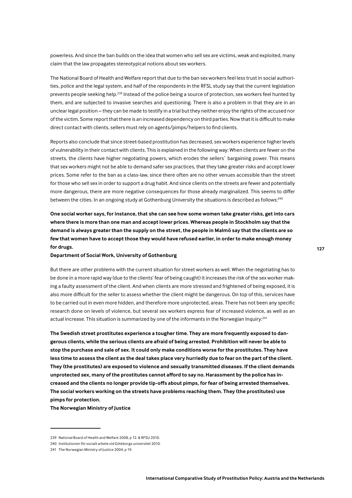powerless. And since the ban builds on the idea that women who sell sex are victims, weak and exploited, many claim that the law propagates stereotypical notions about sex workers.

The National Board of Health and Welfare report that due to the ban sex workers feel less trust in social authorities, police and the legal system, and half of the respondents in the RFSL study say that the current legislation prevents people seeking help.<sup>239</sup> Instead of the police being a source of protection, sex workers feel hunted by them, and are subjected to invasive searches and questioning. There is also a problem in that they are in an unclear legal position – they can be made to testify in a trial but they neither enjoy the rights of the accused nor of the victim. Some report that there is an increased dependency on third parties. Now that it is difficult to make direct contact with clients, sellers must rely on agents/pimps/helpers to find clients.

Reports also conclude that since street-based prostitution has decreased, sex workers experience higher levels of vulnerability in their contact with clients. This is explained in the following way: When clients are fewer on the streets, the clients have higher negotiating powers, which erodes the sellers' bargaining power. This means that sex workers might not be able to demand safer sex practices, that they take greater risks and accept lower prices. Some refer to the ban as a class-law, since there often are no other venues accessible than the street for those who sell sex in order to support a drug habit. And since clients on the streets are fewer and potentially more dangerous, there are more negative consequences for those already marginalized. This seems to differ between the cities. In an ongoing study at Gothenburg University the situations is described as follows:<sup>240</sup>

One social worker says, for instance, that she can see how some women take greater risks, get into cars where there is more than one man and accept lower prices. Whereas people in Stockholm say that the demand is always greater than the supply on the street, the people in Malmö say that the clients are so few that women have to accept those they would have refused earlier, in order to make enough money for drugs.

# Department of Social Work, University of Gothenburg

But there are other problems with the current situation for street workers as well. When the negotiating has to be done in a more rapid way (due to the clients' fear of being caught) it increases the risk of the sex worker making a faulty assessment of the client. And when clients are more stressed and frightened of being exposed, it is also more difficult for the seller to assess whether the client might be dangerous. On top of this, services have to be carried out in even more hidden, and therefore more unprotected, areas. There has not been any specific research done on levels of violence, but several sex workers express fear of increased violence, as well as an actual increase. This situation is summarized by one of the informants in the Norwegian Inquiry:<sup>241</sup>

The Swedish street prostitutes experience a tougher time. They are more frequently exposed to dangerous clients, while the serious clients are afraid of being arrested. Prohibition will never be able to stop the purchase and sale of sex. It could only make conditions worse for the prostitutes. They have less time to assess the client as the deal takes place very hurriedly due to fear on the part of the client. They (the prostitutes) are exposed to violence and sexually transmitted diseases. If the client demands unprotected sex, many of the prostitutes cannot afford to say no. Harassment by the police has increased and the clients no longer provide tip-offs about pimps, for fear of being arrested themselves. The social workers working on the streets have problems reaching them. They (the prostitutes) use pimps for protection.

The Norwegian Ministry of Justice

<sup>239</sup> National Board of Health and Welfare 2008, p 12, & RFSU 2010.

<sup>240</sup> Institutionen för socialt arbete vid Göteborgs universitet 2010.

<sup>241</sup> The Norwegian Ministry of Justice 2004, p 19.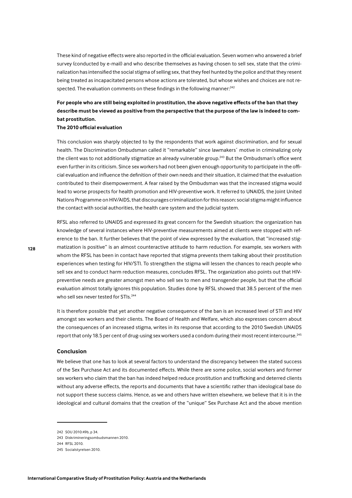These kind of negative effects were also reported in the official evaluation. Seven women who answered a brief survey (conducted by e-mail) and who describe themselves as having chosen to sell sex, state that the criminalization has intensified the social stigma of selling sex, that they feel hunted by the police and that they resent being treated as incapacitated persons whose actions are tolerated, but whose wishes and choices are not respected. The evaluation comments on these findings in the following manner:<sup>242</sup>

# For people who are still being exploited in prostitution, the above negative effects of the ban that they describe must be viewed as positive from the perspective that the purpose of the law is indeed to combat prostitution.

#### The 2010 official evaluation

This conclusion was sharply objected to by the respondents that work against discrimination, and for sexual health. The Discrimination Ombudsman called it "remarkable" since lawmakers' motive in criminalizing only the client was to not additionally stigmatize an already vulnerable group.<sup>243</sup> But the Ombudsman's office went even further in its criticism. Since sex workers had not been given enough opportunity to participate in the official evaluation and influence the definition of their own needs and their situation, it claimed that the evaluation contributed to their disempowerment. A fear raised by the Ombudsman was that the increased stigma would lead to worse prospects for health promotion and HIV-preventive work. It referred to UNAIDS, the Joint United Nations Programme on HIV/AIDS, that discourages criminalization for this reason; social stigma might influence the contact with social authorities, the health care system and the judicial system.

RFSL also referred to UNAIDS and expressed its great concern for the Swedish situation: the organization has knowledge of several instances where HIV-preventive measurements aimed at clients were stopped with reference to the ban. It further believes that the point of view expressed by the evaluation, that "increased stigmatization is positive" is an almost counteractive attitude to harm reduction. For example, sex workers with whom the RFSL has been in contact have reported that stigma prevents them talking about their prostitution experiences when testing for HIV/STI. To strengthen the stigma will lessen the chances to reach people who sell sex and to conduct harm reduction measures, concludes RFSL. The organization also points out that HIVpreventive needs are greater amongst men who sell sex to men and transgender people, but that the official evaluation almost totally ignores this population. Studies done by RFSL showed that 38.5 percent of the men who sell sex never tested for STIs.<sup>244</sup>

It is therefore possible that yet another negative consequence of the ban is an increased level of STI and HIV amongst sex workers and their clients. The Board of Health and Welfare, which also expresses concern about the consequences of an increased stigma, writes in its response that according to the 2010 Swedish UNAIDS report that only 18.5 per cent of drug-using sex workers used a condom during their most recent intercourse.<sup>245</sup>

#### **Conclusion**

We believe that one has to look at several factors to understand the discrepancy between the stated success of the Sex Purchase Act and its documented effects. While there are some police, social workers and former sex workers who claim that the ban has indeed helped reduce prostitution and trafficking and deterred clients without any adverse effects, the reports and documents that have a scientific rather than ideological base do not support these success claims. Hence, as we and others have written elsewhere, we believe that it is in the ideological and cultural domains that the creation of the "unique" Sex Purchase Act and the above mention

<sup>242</sup> SOU 2010:49b, p 34.

<sup>243</sup> Diskrimineringsombudsmannen 2010.

<sup>244</sup> RFSL 2010.

<sup>245</sup> Socialstyrelsen 2010.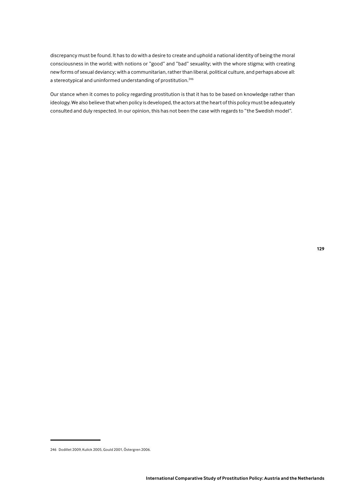discrepancy must be found. It has to do with a desire to create and uphold a national identity of being the moral consciousness in the world; with notions or "good" and "bad" sexuality; with the whore stigma; with creating new forms of sexual deviancy; with a communitarian, rather than liberal, political culture, and perhaps above all: a stereotypical and uninformed understanding of prostitution.<sup>246</sup>

Our stance when it comes to policy regarding prostitution is that it has to be based on knowledge rather than ideology. We also believe that when policy is developed, the actors at the heart of this policy must be adequately consulted and duly respected. In our opinion, this has not been the case with regards to "the Swedish model".

<sup>246</sup> Dodillet 2009, Kulick 2005, Gould 2001, Östergren 2006.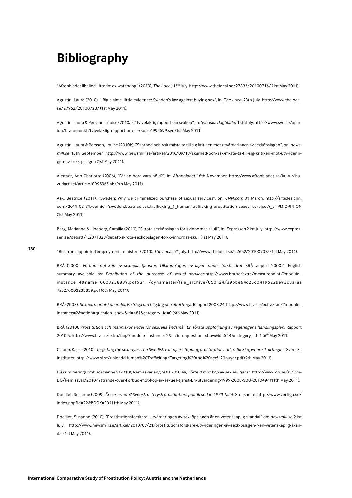# **Bibliography**

"Aftonbladet libelled Littorin: ex-watchdog" (2010), The Local, 16th July. http://www.thelocal.se/27832/20100716/ (1st May 2011).

Agustín, Laura (2010), " Big claims, little evidence: Sweden's law against buying sex", in: The Local 23th July. http://www.thelocal. se/27962/20100723/ (1st May 2011).

Agustín, Laura & Persson, Louise (2010a), "Tvivelaktig rapport om sexköp", in: Svenska Dagbladet 15th July. http://www.svd.se/opinion/brannpunkt/tvivelaktig-rapport-om-sexkop 4994599.svd (1st May 2011).

Agustín, Laura & Persson, Louise (2010b), "Skarhed och Ask måste ta till sig kritiken mot utvärderingen av sexköpslagen", on: newsmill.se 13th September. http://www.newsmill.se/artikel/2010/09/13/skarhed-och-ask-m-ste-ta-till-sig-kritiken-mot-utv-rderingen-av-sexk-pslagen (1st May 2011).

Altstadt, Ann Charlotte (2006), "Får en hora vara nöjd?", in: Aftonbladet 16th November. http://www.aftonbladet.se/kultur/huvudartikel/article10995965.ab (9th May 2011).

Ask, Beatrice (2011), "Sweden: Why we criminalized purchase of sexual services", on: CNN.com 31 March. http://articles.cnn. com/2011-03-31/opinion/sweden.beatrice.ask.trafficking 1 human-trafficking-prostitution-sexual-services? s=PM:OPINION (1st May 2011).

Berg, Marianne & Lindberg, Camilla (2010), "Skrota sexköpslagen för kvinnornas skull", in: Expressen 21st July. http://www.expressen.se/debatt/1.2071323/debatt-skrota-sexkopslagen-for-kvinnornas-skull (1st May 2011).

"Billström appointed employment minister" (2010), The Local, 7<sup>th</sup> July. http://www.thelocal.se/27652/20100707/ (1st May 2011).

BRÅ (2000), Förbud mot köp av sexuella tjänster. Tillämpningen av lagen under första året. BRÅ-rapport 2000:4. English summary available as: Prohibition of the purchase of sexual services.http://www.bra.se/extra/measurepoint/?module instance=4&name=0003238839.pdf&url=/dynamaster/file archive/050124/39bbe64c25c0419622be93c8a1aa 7a52/0003238839.pdf (6th May 2011).

BRÅ (2008), Sexuell människohandel. En fråga om tillgång och efterfråga. Rapport 2008:24. http://www.bra.se/extra/faq/?module\_ instance=2&action=question\_show&id=481&category\_id=0 (6th May 2011).

BRÅ (2010), Prostitution och människohandel för sexuella ändamål. En första uppföljning av regeringens handlingsplan. Rapport 2010:5. http://www.bra.se/extra/faq/?module instance=2&action=question show&id=544&category id=1 (6<sup>th</sup> May 2011).

Claude, Kajsa (2010), Targeting the sexbuyer. The Swedish example: stopping prostitution and trafficking where it all begins. Svenska Institutet.http://www.si.se/upload/Human%20Trafficking/Targeting%20the%20sex%20buyer.pdf (9th May 2011).

Diskrimineringsombudsmannen (2010), Remissvar ang SOU 2010:49, Förbud mot köp av sexuell tjänst. http://www.do.se/sv/Om-DO/Remissvar/2010/Yttrande-over-Forbud-mot-kop-av-sexuell-tianst-En-utvardering-1999-2008-SOU-201049/(11th May 2011).

Dodillet, Susanne (2009), Är sex arbete? Svensk och tysk prostitutionspolitik sedan 1970-talet. Stockholm. http://www.vertigo.se/ index.php?id=22&BOOK=90 (11th May 2011).

Dodillet, Susanne (2010), "Prostitutionsforskare: Utvärderingen av sexköpslagen är en vetenskaplig skandal" on: newsmill.se 21st July, http://www.newsmill.se/artikel/2010/07/21/prostitutionsforskare-utv-rderingen-av-sexk-pslagen-r-en-vetenskaplig-skandal (1st May 2011).

130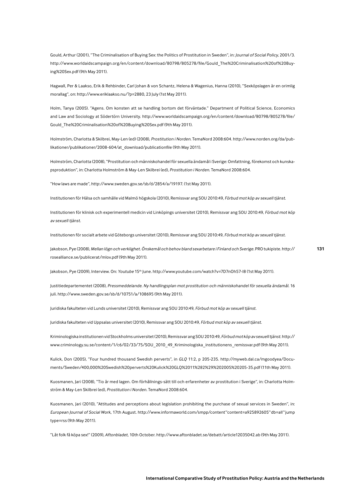Gould, Arthur (2001), "The Criminalisation of Buying Sex: the Politics of Prostitution in Sweden", in: Journal of Social Policy, 2001/3. http://www.worldaidscampaign.org/en/content/download/80798/805278/file/Gould The%20Criminalisation%20of%20Buying%20Sex.pdf (9th May 2011).

Hagwall, Per & Laakso, Erik & Rehbinder, Carl Johan & von Schantz, Helena & Wagenius, Hanna (2010), "Sexköpslagen är en orimlig morallag", on: http://www.eriklaakso.nu/?p=2880, 23 July (1st May 2011).

Holm, Tanya (2005). "Agens. Om konsten att se handling bortom det förväntade." Department of Political Science, Economics and Law and Sociology at Södertörn University. http://www.worldaidscampaign.org/en/content/download/80798/805278/file/ Gould\_The%20Criminalisation%20of%20Buying%20Sex.pdf (9th May 2011).

Holmström, Charlotta & Skilbrei, May-Len (ed) (2008), Prostitution i Norden. TemaNord 2008:604. http://www.norden.org/da/publikationer/publikationer/2008-604/at download/publicationfile (9th May 2011).

Holmström, Charlotta (2008), "Prostitution och människohandel för sexuella ändamål i Sverige: Omfattning, förekomst och kunskapsproduktion", in: Charlotta Holmström & May-Len Skilbrei (ed), Prostitution i Norden. TemaNord 2008:604.

"How laws are made", http://www.sweden.gov.se/sb/d/2854/a/19197. (1st May 2011).

Institutionen för Hälsa och samhälle vid Malmö högskola (2010), Remissvar ang SOU 2010:49, Förbud mot köp av sexuell tjänst.

Institutionen för klinisk och experimentell medicin vid Linköpings universitet (2010), Remissvar ang SOU 2010:49, Förbud mot köp av sexuell tiänst.

Institutionen för socialt arbete vid Göteborgs universitet (2010), Remissvar ang SOU 2010:49, Förbud mot köp av sexuell tjänst.

Jakobson, Pye (2008), Mellan lögn och verklighet. Önskemål och behov bland sexarbetare i Finland och Sverige. PRO tukipiste. http:// rosealliance.se/publicerat/mlov.pdf (9th May 2011).

131

Jakobson, Pye (2009), Interview. On: Youtube 15<sup>th</sup> June. http://www.youtube.com/watch?v=7D7nOh57-I8 (1st May 2011).

Justitiedepartementet (2008), Pressmeddelande. Ny handlingsplan mot prostitution och människohandel för sexuella ändamål. 16 juli. http://www.sweden.gov.se/sb/d/10751/a/108695 (9th May 2011).

Juridiska fakulteten vid Lunds universitet (2010), Remissvar ang SOU 2010:49, Förbud mot köp av sexuell tjänst.

Juridiska fakulteten vid Uppsalas universitet (2010), Remissvar ang SOU 2010:49, Förbud mot köp av sexuell tjänst.

Kriminologiska institutionen vid Stockholms universitet (2010), Remissvar ang SOU 2010:49, Förbud mot köp av sexuell tjänst. http:// www.criminology.su.se/content/1/c6/02/33/75/SOU\_2010\_49\_Kriminologiska\_institutionens\_remissvar.pdf (9th May 2011).

Kulick, Don (2005), "Four hundred thousand Swedish perverts", in GLQ 11:2, p 205-235. http://myweb.dal.ca/mgoodyea/Documents/Sweden/400,000%20Swedish%20perverts%20Kulick%20GL0%2011%282%29%202005%20205-35.pdf (11th May 2011).

Kuosmanen, Jari (2008), "Tio år med lagen. Om förhållnings-sätt till och erfarenheter av prostitution i Sverige", in: Charlotta Holmström & May-Len Skilbrei (ed), Prostitution i Norden. TemaNord 2008:604.

Kuosmanen, Jari (2010), "Attitudes and perceptions about legislation prohibiting the purchase of sexual services in Sweden", in: European Journal of Social Work, 17th August, http://www.informaworld.com/smpp/content~content=a925892605~db=all~iump type=rss (9th May 2011).

"Låt folk få köpa sex!" (2009), Aftonbladet, 10th October. http://www.aftonbladet.se/debatt/article12035042.ab (9th May 2011).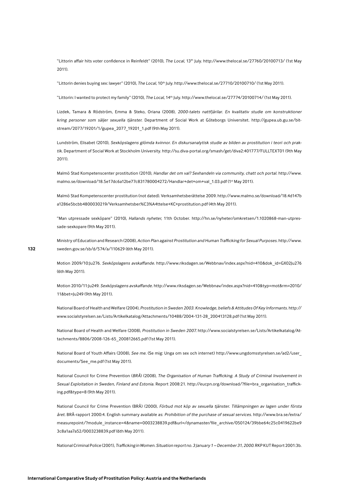"Littorin affair hits voter confidence in Reinfeldt" (2010), The Local, 13th July. http://www.thelocal.se/27760/20100713/ (1st May  $2011$ ).

"Littorin denies buying sex: lawyer" (2010), The Local, 10<sup>th</sup> July. http://www.thelocal.se/27710/20100710/ (1st May 2011).

"Littorin: I wanted to protect my family" (2010), The Local, 14th July. http://www.thelocal.se/27774/20100714/ (1st May 2011).

Lizdek, Tamara & Rödström, Emma & Steko, Oriana (2008), 2000-talets nattfjärilar. En kvalitativ studie om konstruktioner kring personer som säljer sexuella tjänster. Department of Social Work at Göteborgs Universitet. http://gupea.ub.gu.se/bitstream/2077/19201/1/gupea 2077 19201 1.pdf (9th May 2011).

Lundström, Elisabet (2010), Sexköpslagens glömda kvinnor. En diskursanalytisk studie av bilden av prostitution i teori och praktik. Department of Social Work at Stockholm University. http://su.diva-portal.org/smash/get/diva2:401777/FULLTEXT01 (9th May  $2011$ 

Malmö Stad Kompetenscenter prostitution (2010). Handlar det om val? Sexhandeln via community, chatt och portal, http://www. malmo.se/download/18.5e17dc6a12be77c831780004272/Handlar+det+om+val\_1.03.pdf(1st May 2011).

Malmö Stad Kompetenscenter prostitution (not dated). Verksamhetsberättelse 2009. http://www.malmo.se/download/18.4d147b a1286e5bcbb4800030219/Verksamhetsber%C3%A4ttelse+KC+prostitution.pdf (4th May 2011).

"Man utpressade sexköpare" (2010), Hallands nyheter, 11th October. http://hn.se/nyheter/omkretsen/1.1020868-man-utpressade-sexkopare (9th May 2011).

Ministry of Education and Research (2008), Action Plan against Prostitution and Human Trafficking for Sexual Purposes. http://www. sweden.gov.se/sb/d/574/a/110629 (6th May 2011).

Motion 2009/10:Ju276. Sexköpslagens avskaffande. http://www.riksdagen.se/Webbnav/index.aspx?nid=410&dok\_id=GX02Ju276 (6th May 2011).

Motion 2010/11:Ju249. Sexköpslagens avskaffande. http://www.riksdagen.se/Webbnav/index.aspx?nid=410&typ=mot&rm=2010/ 11&bet=Ju249 (9th May 2011).

National Board of Health and Welfare (2004), Prostitution in Sweden 2003. Knowledge, beliefs & Attitudes Of Key Informants. http:// www.socialstyrelsen.se/Lists/Artikelkatalog/Attachments/10488/2004-131-28 200413128.pdf (1st May 2011).

National Board of Health and Welfare (2008), Prostitution in Sweden 2007. http://www.socialstyrelsen.se/Lists/Artikelkatalog/Attachments/8806/2008-126-65 200812665.pdf (1st May 2011).

National Board of Youth Affairs (2008), See me. (Se mig: Unga om sex och internet) http://www.ungdomsstyrelsen.se/ad2/user documents/See\_me.pdf (1st May 2011).

National Council for Crime Prevention (BRÅ) (2008), The Organisation of Human Trafficking. A Study of Criminal Involvement in Sexual Exploitation in Sweden, Finland and Estonia. Report 2008:21. http://eucpn.org/download/?file=bra organisation trafficking.pdf&type=8 (9th May 2011).

National Council for Crime Prevention (BRÅ) (2000), Förbud mot köp av sexuella tjänster. Tillämpningen av lagen under första året. BRÅ-rapport 2000:4. English summary available as: Prohibition of the purchase of sexual services. http://www.bra.se/extra/ measurepoint/?module instance=4&name=0003238839.pdf&url=/dynamaster/file archive/050124/39bbe64c25c0419622be9 3c8a1aa7a52/0003238839.pdf (6th May 2011).

National Criminal Police (2001), Trafficking in Women. Situation report no. 3 January 1 - December 31, 2000. RKP KUT Report 2001:3b.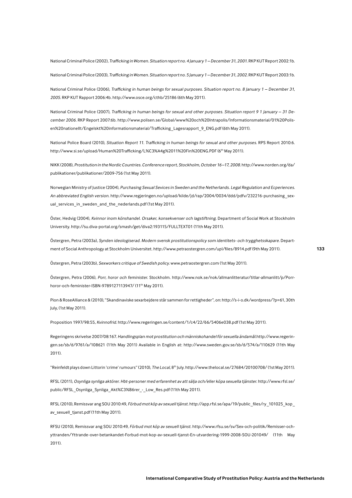National Criminal Police (2002), Trafficking in Women. Situation report no. 4 January 1 - December 31, 2001. RKP KUT Report 2002:1b.

National Criminal Police (2003), Trafficking in Women. Situation report no. 5 January 1 - December 31, 2002. RKP KUT Report 2003:1b.

National Criminal Police (2006), Trafficking in human beings for sexual purposes. Situation report no. 8 January 1 - December 31, 2005. RKP KUT Rapport 2006:4b. http://www.osce.org/cthb/25186 (6th May 2011).

National Criminal Police (2007), Trafficking in human beings for sexual and other purposes. Situation report 9 1 January - 31 December 2006. RKP Report 2007:6b. http://www.polisen.se/Global/www%20och%20Intrapolis/Informationsmaterial/01%20Polisen%20nationellt/Engelskt%20informationsmaterial/Trafficking Lagesrapport 9 ENG.pdf (6th May 2011).

National Police Board (2010), Situation Report 11. Trafficking in human beings for sexual and other purposes. RPS Report 2010:6. http://www.si.se/upload/Human%20Trafficking/L%C3%A4g%2011%20Fin%20ENG.PDF (6<sup>th</sup> May 2011).

NIKK (2008), Prostitution in the Nordic Countries. Conference report, Stockholm, October 16-17, 2008. http://www.norden.org/da/ publikationer/publikationer/2009-756 (1st May 2011).

Norwegian Ministry of Justice (2004), Purchasing Sexual Sevices in Sweden and the Netherlands. Legal Regulation and Ecperiences. An abbreviated English version. http://www.regjeringen.no/upload/kilde/jd/rap/2004/0034/ddd/pdfv/232216-purchasing sexual\_services\_in\_sweden\_and\_the\_nederlands.pdf(1st May 2011).

Öster, Hedvig (2004), Kvinnor inom könshandel. Orsaker, konsekvenser och lagstiftning. Department of Social Work at Stockholm University. http://su.diva-portal.org/smash/get/diva2:193115/FULLTEXT01 (11th May 2011).

Östergren, Petra (2003a), Synden ideologiserad. Modern svensk prostitutionspolicy som identitets- och trygghetsskapare. Department of Social Anthropology at Stockholm Universitet. http://www.petraostergren.com/upl/files/8914.pdf (9th May 2011).

Östergren, Petra (2003b), Sexworkers critique of Swedish policy. www.petraostergren.com (1st May 2011).

Östergren, Petra (2006), Porr, horor och feminister. Stockholm. http://www.nok.se/nok/allmanlitteratur/titlar-allmanlitt/p/Porrhoror-och-feminister-ISBN-9789127113947/ (11<sup>th</sup> May 2011).

Pion & RoseAlliance & (2010), "Skandinaviske sexarbejdere står sammen for rettigheder", on: http://s-i-o.dk/wordpress/?p=61,30th July, (1st May 2011).

Proposition 1997/98:55. Kvinnofrid. http://www.regeringen.se/content/1/c4/22/66/5406e038.pdf (1st May 2011).

Regeringens skrivelse 2007/08:167. Handlingsplan mot prostitution och människohandel för sexuella ändamål.http://www.regeringen.se/sb/d/9761/a/108621 (11th May 2011) Available in English at: http://www.sweden.gov.se/sb/d/574/a/110629 (11th May  $2011$ ).

"Reinfeldt plays down Littorin 'crime' rumours" (2010), The Local, 8<sup>th</sup> July. http://www.thelocal.se/27684/20100708/ (1st May 2011).

RFSL (2011), Osynliga synliga aktörer. Hbt-personer med erfarenhet av att sälja och/eller köpa sexuella tjänster. http://www.rfsl.se/ public/RFSL\_Osynliga\_Synliga\_Akt%C3%B6rer\_-\_Low\_Res.pdf(11th May 2011).

RFSL (2010), Remissvar ang SOU 2010:49, Förbud mot köp av sexuell tjänst. http://app.rfsl.se/apa/19/public\_files/ry\_101025\_kop\_ av\_sexuell\_tjanst.pdf (11th May 2011).

RFSU (2010), Remissvar ang SOU 2010:49, Förbud mot köp av sexuell tjänst. http://www.rfsu.se/sv/Sex-och-politik/Remisser-ochyttranden/Yttrande-over-betankandet-Forbud-mot-kop-av-sexuell-tjanst-En-utvardering-1999-2008-SOU-201049/ (11th May 2011).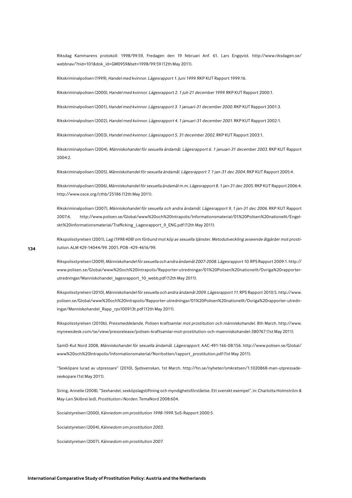Riksdag Kammarens protokoll: 1998/99:59, Fredagen den 19 februari Anf. 61. Lars Engqvist. http://www.riksdagen.se/ webbnav/?nid=101&dok\_id=GM0959&bet=1998/99:59 (12th May 2011).

Rikskriminalpolisen (1999), Handel med kvinnor. Lägesrapport 1. Juni 1999. RKP KUT Rapport 1999:16.

Rikskriminalpolisen (2000), Handel med kvinnor. Lägesrapport 2. 1 juli-21 december 1999. RKP KUT Rapport 2000:1.

Rikskriminalpolisen (2001), Handel med kvinnor. Lägesrapport 3. 1 januari-31 december 2000. RKP KUT Rapport 2001:3.

Rikskriminalpolisen (2002), Handel med kvinnor. Lägesrapport 4. 1 januari-31 december 2001. RKP KUT Rapport 2002:1.

Rikskriminalpolisen (2003), Handel med kvinnor. Lägesrapport 5. 31 december 2002. RKP KUT Rapport 2003:1.

Rikskriminalpolisen (2004), Människohandel för sexuella ändamål. Lägesrapport 6. 1 januari-31 december 2003. RKP KUT Rapport 2004:2.

Rikskriminalpolisen (2005), Människohandel för sexuella ändamål. Lägesrapport 7.1 jan-31 dec 2004. RKP KUT Rapport 2005:4.

Rikskriminalpolisen (2006), Människohandel för sexuella ändamål m.m. Lägesrapport 8. 1 jan-31 dec 2005. RKP KUT Rapport 2006:4. http://www.osce.org/cthb/25186 (12th May 2011).

Rikskriminalpolisen (2007), Människohandel för sexuella och andra ändamål. Lägesrapport 9, 1 jan-31 dec 2006. RKP KUT Rapport http://www.polisen.se/Global/www%20och%20Intrapolis/Informationsmaterial/01%20Polisen%20nationellt/Engel-2007:6. skt%20informationsmaterial/Trafficking Lagesrapport 9 ENG.pdf (12th May 2011).

Rikspolisstyrelsen (2001), Lag (1998:408) om förbund mot köp av sexuella tjänster. Metodutveckling avseende åtgärder mot prostitution. ALM 429-14044/99. 2001, POB-429-4616/99.

Rikspolisstyrelsen (2009), Människohandel för sexuella och andra ändamål 2007-2008. Lägesrapport 10. RPS Rapport 2009:1. http:// www.polisen.se/Global/www%20och%20Intrapolis/Rapporter-utredningar/01%20Polisen%20nationellt/Ovriga%20rapporterutredningar/Manniskohandel lagesrapport 10 webb.pdf (12th May 2011).

Rikspolisstyrelsen (2010), Människohandel för sexuella och andra ändamål 2009. Lägesrapport 11. RPS Rapport 2010:5. http://www. polisen.se/Global/www%20och%20Intrapolis/Rapporter-utredningar/01%20Polisen%20nationellt/Ovriga%20rapporter-utredningar/Manniskohandel Rapp rps100913t.pdf (12th May 2011).

Rikspolisstyrelsen (2010b), Pressmeddelande, Polisen kraftsamlar mot prostitution och människohandel. 8th March. http://www. mynewsdesk.com/se/view/pressrelease/polisen-kraftsamlar-mot-prostitution-och-maenniskohandel-380767 (1st May 2011).

SamO-Kut Nord 2008, Människohandel för sexuella ändamål. Lägesrapport. AAC-491-166-08:156. http://www.polisen.se/Global/ www%20och%20Intrapolis/Informationsmaterial/Norrbotten/rapport prostitution.pdf (1st May 2011).

"Sexköpare lurad av utpressare" (2010), Sydsvenskan, 1st March. http://hn.se/nyheter/omkretsen/1.1020868-man-utpressadesexkopare (1st May 2011).

Siring, Annelie (2008), "Sexhandel, sexköpslagstiftning och myndighetsförståelse. Ett svenskt exempel", in: Charlotta Holmström & May-Len Skilbrei (ed), Prostitution i Norden. TemaNord 2008:604.

Socialstyrelsen (2000), Kännedom om prostitution 1998-1999. SoS-Rapport 2000:5.

Socialstyrelsen (2004), Kännedom om prostitution 2003.

Socialstyrelsen (2007), Kännedom om prostitution 2007.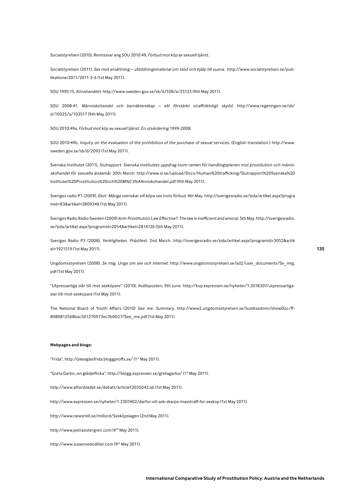Socialstyrelsen (2010), Remissvar ang SOU 2010:49, Förbud mot köp av sexuell tjänst.

Socialstyrelsen (2011), Sex mot ersättning - utbildningsmaterial om stöd och hjälp till vuxna. http://www.socialstyrelsen.se/publikationer2011/2011-3-6 (1st May 2011).

SOU 1995:15, Könshandeln. http://www.sweden.gov.se/sb/d/108/a/25123 (9th May 2011).

SOU 2008:41, Människohandel och barnäktenskap – ett förstärkt straffrättsligt skydd. http://www.regeringen.se/sb/ d/10025/a/103517 (9th May 2011).

SOU 2010:49a, Förbud mot köp av sexuell tjänst. En utvärdering 1999-2008.

SOU 2010:49b, Inquiry on the evaluation of the prohibition of the purchase of sexual services. (English translation.) http://www. sweden.gov.se/sb/d/2093 (1st May 2011).

Svenska Institutet (2011), Slutrapport. Svenska institutets uppdrag inom ramen för handlingsplanen mot prostitution och människohandel för sexuella ändamål. 30th March, http://www.si.se/upload/Docs/Human%20trafficking/Slutrapport%20Svenska%20 Institutet%20Prostitution%20och%20M%C3%A4nniskohandel.pdf (9th May 2011).

Sveriges radio P1 (2009), Ekot. Många svenskar vill köpa sex trots förbud. 4th May. http://sverigesradio.se/sida/artikel.aspx?progra mid=83&artikel=2809348 (1st May 2011).

Sveriges Radio Radio Sweden (2009) Anti-Prostitution Law Effective?: The law is inefficient and amoral. 5th May. http://sverigesradio. se/sida/artikel.aspx?programid=2054&artikel=2814126 (5th May 2011).

Sveriges Radio P3 (2008), Verkligheten. Prästfest. 2nd March. http://sverigesradio.se/sida/artikel.aspx?programid=3052&artik el=1921519 (1st May 2011).

Ungdomsstyrelsen (2008), Se mig. Unga om sex och internet. http://www.ungdomsstyrelsen.se/ad2/user\_documents/Se\_mig. pdf (1st May 2011).

"Utpressarliga slår till mot sexköpare" (2010), Kvällsposten, 9th June. http://kvp.expressen.se/nyheter/1.2018307/utpressarligaslar-till-mot-sexkopare (1st May 2011).

The National Board of Youth Affairs (2010) See me. Summary. http://www2.ungdomsstyrelsen.se/butiksadmin/showDoc/ff-8080812568bac501270973ec3b0027/See me.pdf (1st May 2011).

#### **Webpages and blogs:**

"Frida", http://plexiglasfrida.bloggproffs.se/ (1<sup>st</sup> May 2011).

"Greta Garbo...en glädjeflicka", http://blogg.expressen.se/gretagarbo/ (1st May 2011).

http://www.aftonbladet.se/debatt/article12035042.ab (1st May 2011).

http://www.expressen.se/nyheter/1.2307402/darfor-vill-ask-skarpa-maxstraff-for-sexkop (1st May 2011).

http://www.newsmill.se/millord/Sexköpslagen (2nd May 2011).

http://www.petraostergren.com (9th May 2011).

http://www.susannedodillet.com (9th May 2011).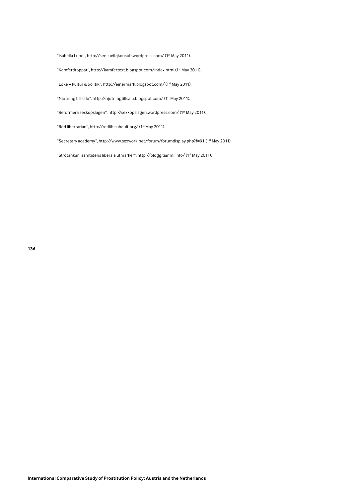"Isabella Lund", http://sensuellqkonsult.wordpress.com/ (1st May 2011).

"Kamferdroppar", http://kamfertext.blogspot.com/index.html (1<sup>st</sup> May 2011).

"Loke - kultur & politik", http://ejnermark.blogspot.com/ (1st May 2011).

"Njutning till salu", http://njutningtillsalu.blogspot.com/ (1<sup>st</sup> May 2011).

"Reformera sexköpslagen", http://sexkopslagen.wordpress.com/ (1st May 2011).

"Röd libertarian", http://redlib.subcult.org/ (1st May 2011).

"Secretary academy", http://www.sexwork.net/forum/forumdisplay.php?f=91 (1<sup>st</sup> May 2011).

"Strötankar i samtidens liberala utmarker", http://blogg.tianmi.info/ (1st May 2011).